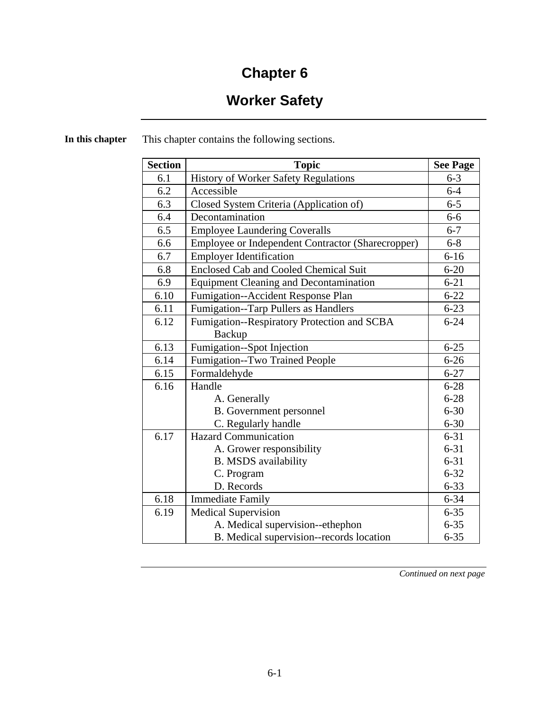# **Chapter 6**

# **Worker Safety**

| <b>Section</b> | <b>Topic</b>                                      | <b>See Page</b> |
|----------------|---------------------------------------------------|-----------------|
| 6.1            | History of Worker Safety Regulations              | $6 - 3$         |
| 6.2            | Accessible                                        | $6 - 4$         |
| 6.3            | Closed System Criteria (Application of)           | $6 - 5$         |
| 6.4            | Decontamination                                   | $6-6$           |
| 6.5            | <b>Employee Laundering Coveralls</b>              | $6 - 7$         |
| 6.6            | Employee or Independent Contractor (Sharecropper) | $6 - 8$         |
| 6.7            | <b>Employer Identification</b>                    | $6 - 16$        |
| 6.8            | <b>Enclosed Cab and Cooled Chemical Suit</b>      | $6 - 20$        |
| 6.9            | <b>Equipment Cleaning and Decontamination</b>     | $6 - 21$        |
| 6.10           | Fumigation--Accident Response Plan                | $6 - 22$        |
| 6.11           | Fumigation--Tarp Pullers as Handlers              | $6 - 23$        |
| 6.12           | Fumigation--Respiratory Protection and SCBA       | $6 - 24$        |
|                | Backup                                            |                 |
| 6.13           | Fumigation--Spot Injection                        | $6 - 25$        |
| 6.14           | Fumigation--Two Trained People                    | $6 - 26$        |
| 6.15           | Formaldehyde                                      | $6 - 27$        |
| 6.16           | Handle                                            | $6 - 28$        |
|                | A. Generally                                      | $6 - 28$        |
|                | <b>B.</b> Government personnel                    | $6 - 30$        |
|                | C. Regularly handle                               | $6 - 30$        |
| 6.17           | <b>Hazard Communication</b>                       | $6 - 31$        |
|                | A. Grower responsibility                          | $6 - 31$        |
|                | <b>B. MSDS</b> availability                       | $6 - 31$        |
|                | C. Program                                        | $6 - 32$        |
|                | D. Records                                        | $6 - 33$        |
| 6.18           | <b>Immediate Family</b>                           | $6 - 34$        |
| 6.19           | <b>Medical Supervision</b>                        | $6 - 35$        |
|                | A. Medical supervision--ethephon                  | $6 - 35$        |
|                | B. Medical supervision--records location          | $6 - 35$        |

**In this chapter** This chapter contains the following sections.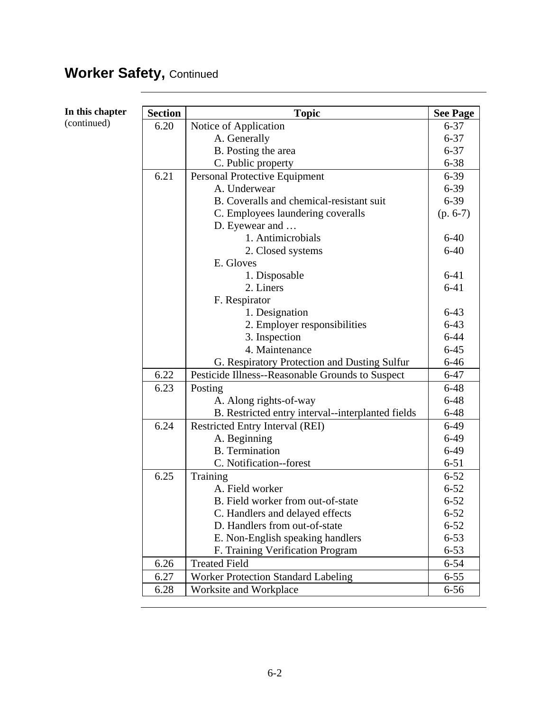# Worker Safety, Continued

| In this chapter | <b>Section</b> | <b>Topic</b>                                      | <b>See Page</b> |
|-----------------|----------------|---------------------------------------------------|-----------------|
| (continued)     | 6.20           | Notice of Application                             | $6 - 37$        |
|                 |                | A. Generally                                      | $6 - 37$        |
|                 |                | B. Posting the area                               | $6 - 37$        |
|                 |                | C. Public property                                | $6 - 38$        |
|                 | 6.21           | Personal Protective Equipment                     | $6 - 39$        |
|                 |                | A. Underwear                                      | $6 - 39$        |
|                 |                | B. Coveralls and chemical-resistant suit          | $6 - 39$        |
|                 |                | C. Employees laundering coveralls                 | $(p. 6-7)$      |
|                 |                | D. Eyewear and                                    |                 |
|                 |                | 1. Antimicrobials                                 | $6-40$          |
|                 |                | 2. Closed systems                                 | $6 - 40$        |
|                 |                | E. Gloves                                         |                 |
|                 |                | 1. Disposable                                     | $6 - 41$        |
|                 |                | 2. Liners                                         | $6 - 41$        |
|                 |                | F. Respirator                                     |                 |
|                 |                | 1. Designation                                    | $6-43$          |
|                 |                | 2. Employer responsibilities                      | $6 - 43$        |
|                 |                | 3. Inspection                                     | $6 - 44$        |
|                 |                | 4. Maintenance                                    | $6 - 45$        |
|                 |                | G. Respiratory Protection and Dusting Sulfur      | $6 - 46$        |
|                 | 6.22           | Pesticide Illness--Reasonable Grounds to Suspect  | $6 - 47$        |
|                 | 6.23           | Posting                                           | $6 - 48$        |
|                 |                | A. Along rights-of-way                            | $6 - 48$        |
|                 |                | B. Restricted entry interval--interplanted fields | $6-48$          |
|                 | 6.24           | <b>Restricted Entry Interval (REI)</b>            | $6-49$          |
|                 |                | A. Beginning                                      | $6-49$          |
|                 |                | <b>B.</b> Termination                             | $6-49$          |
|                 |                | C. Notification--forest                           | $6 - 51$        |
|                 | 6.25           | Training                                          | $6 - 52$        |
|                 |                | A. Field worker                                   | $6 - 52$        |
|                 |                | B. Field worker from out-of-state                 | $6 - 52$        |
|                 |                | C. Handlers and delayed effects                   | $6 - 52$        |
|                 |                | D. Handlers from out-of-state                     | $6 - 52$        |
|                 |                | E. Non-English speaking handlers                  | $6 - 53$        |
|                 |                | F. Training Verification Program                  | $6 - 53$        |
|                 | 6.26           | <b>Treated Field</b>                              | $6 - 54$        |
|                 | 6.27           | <b>Worker Protection Standard Labeling</b>        | $6 - 55$        |
|                 | 6.28           | Worksite and Workplace                            | $6 - 56$        |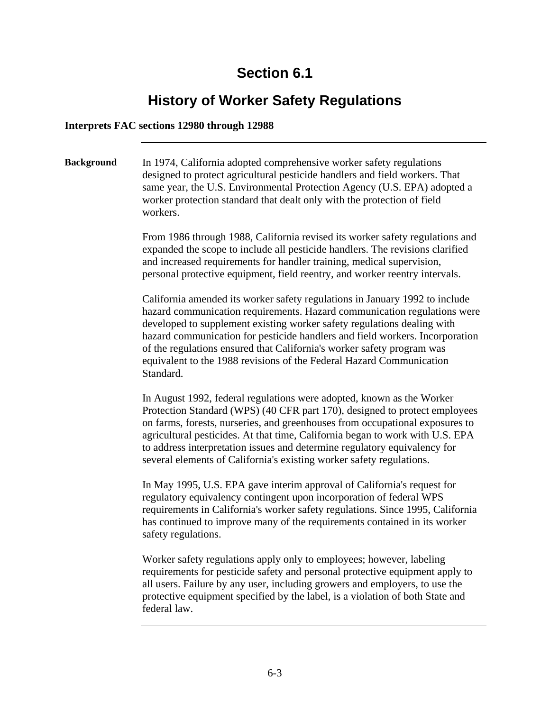## **History of Worker Safety Regulations**

#### **Interprets FAC sections 12980 through 12988**

**Background** In 1974, California adopted comprehensive worker safety regulations designed to protect agricultural pesticide handlers and field workers. That same year, the U.S. Environmental Protection Agency (U.S. EPA) adopted a worker protection standard that dealt only with the protection of field workers.

> From 1986 through 1988, California revised its worker safety regulations and expanded the scope to include all pesticide handlers. The revisions clarified and increased requirements for handler training, medical supervision, personal protective equipment, field reentry, and worker reentry intervals.

California amended its worker safety regulations in January 1992 to include hazard communication requirements. Hazard communication regulations were developed to supplement existing worker safety regulations dealing with hazard communication for pesticide handlers and field workers. Incorporation of the regulations ensured that California's worker safety program was equivalent to the 1988 revisions of the Federal Hazard Communication Standard.

In August 1992, federal regulations were adopted, known as the Worker Protection Standard (WPS) (40 CFR part 170), designed to protect employees on farms, forests, nurseries, and greenhouses from occupational exposures to agricultural pesticides. At that time, California began to work with U.S. EPA to address interpretation issues and determine regulatory equivalency for several elements of California's existing worker safety regulations.

In May 1995, U.S. EPA gave interim approval of California's request for regulatory equivalency contingent upon incorporation of federal WPS requirements in California's worker safety regulations. Since 1995, California has continued to improve many of the requirements contained in its worker safety regulations.

Worker safety regulations apply only to employees; however, labeling requirements for pesticide safety and personal protective equipment apply to all users. Failure by any user, including growers and employers, to use the protective equipment specified by the label, is a violation of both State and federal law.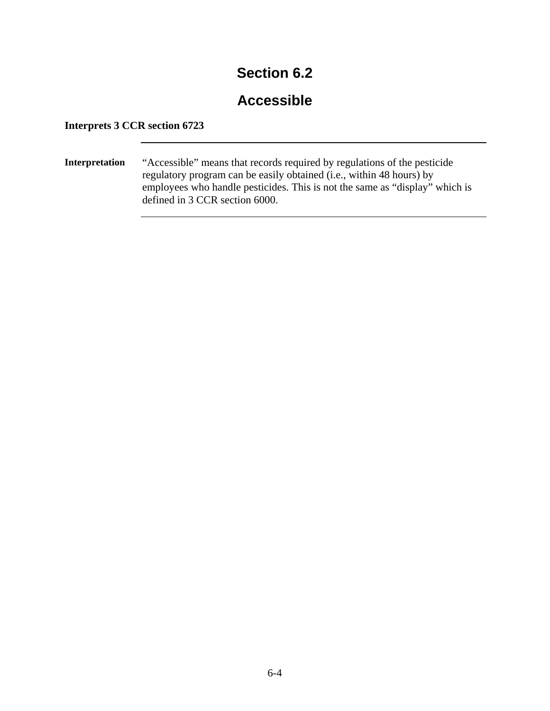#### **Accessible**

#### **Interprets 3 CCR section 6723**

**Interpretation** "Accessible" means that records required by regulations of the pesticide regulatory program can be easily obtained (i.e., within 48 hours) by employees who handle pesticides. This is not the same as "display" which is defined in 3 CCR section 6000.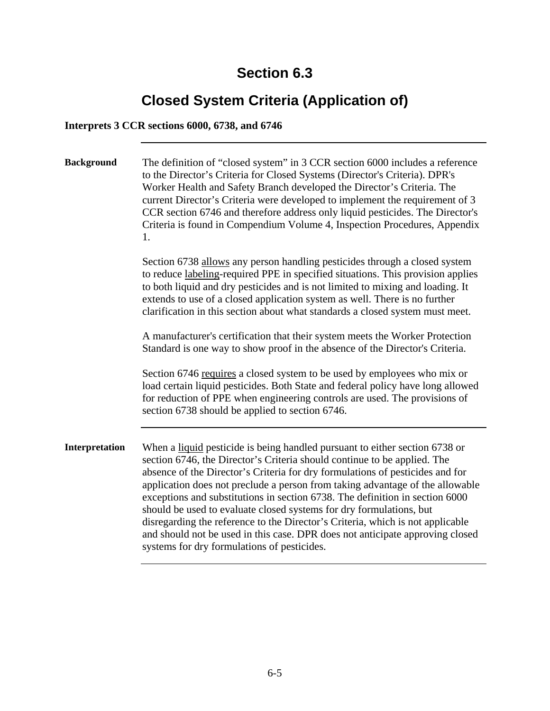# **Closed System Criteria (Application of)**

#### **Interprets 3 CCR sections 6000, 6738, and 6746**

| <b>Background</b> | The definition of "closed system" in 3 CCR section 6000 includes a reference<br>to the Director's Criteria for Closed Systems (Director's Criteria). DPR's<br>Worker Health and Safety Branch developed the Director's Criteria. The<br>current Director's Criteria were developed to implement the requirement of 3<br>CCR section 6746 and therefore address only liquid pesticides. The Director's<br>Criteria is found in Compendium Volume 4, Inspection Procedures, Appendix<br>1.                                                                                                                                                                                                           |
|-------------------|----------------------------------------------------------------------------------------------------------------------------------------------------------------------------------------------------------------------------------------------------------------------------------------------------------------------------------------------------------------------------------------------------------------------------------------------------------------------------------------------------------------------------------------------------------------------------------------------------------------------------------------------------------------------------------------------------|
|                   | Section 6738 allows any person handling pesticides through a closed system<br>to reduce labeling-required PPE in specified situations. This provision applies<br>to both liquid and dry pesticides and is not limited to mixing and loading. It<br>extends to use of a closed application system as well. There is no further<br>clarification in this section about what standards a closed system must meet.                                                                                                                                                                                                                                                                                     |
|                   | A manufacturer's certification that their system meets the Worker Protection<br>Standard is one way to show proof in the absence of the Director's Criteria.                                                                                                                                                                                                                                                                                                                                                                                                                                                                                                                                       |
|                   | Section 6746 requires a closed system to be used by employees who mix or<br>load certain liquid pesticides. Both State and federal policy have long allowed<br>for reduction of PPE when engineering controls are used. The provisions of<br>section 6738 should be applied to section 6746.                                                                                                                                                                                                                                                                                                                                                                                                       |
| Interpretation    | When a liquid pesticide is being handled pursuant to either section 6738 or<br>section 6746, the Director's Criteria should continue to be applied. The<br>absence of the Director's Criteria for dry formulations of pesticides and for<br>application does not preclude a person from taking advantage of the allowable<br>exceptions and substitutions in section 6738. The definition in section 6000<br>should be used to evaluate closed systems for dry formulations, but<br>disregarding the reference to the Director's Criteria, which is not applicable<br>and should not be used in this case. DPR does not anticipate approving closed<br>systems for dry formulations of pesticides. |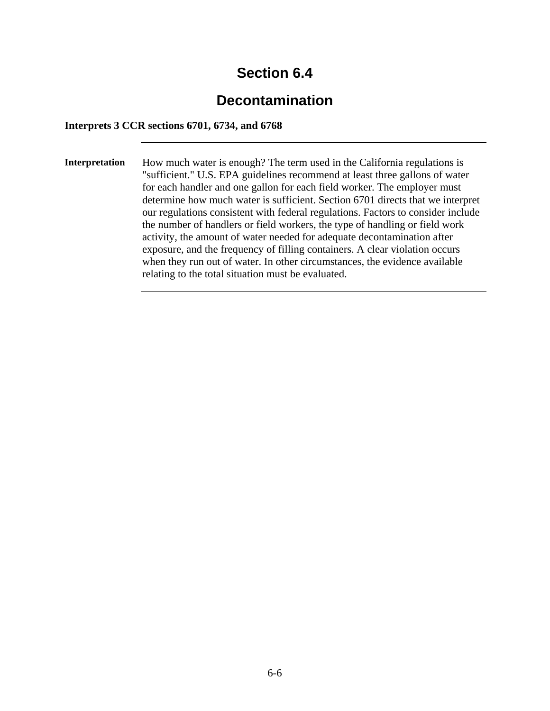### **Decontamination**

#### **Interprets 3 CCR sections 6701, 6734, and 6768**

**Interpretation** How much water is enough? The term used in the California regulations is "sufficient." U.S. EPA guidelines recommend at least three gallons of water for each handler and one gallon for each field worker. The employer must determine how much water is sufficient. Section 6701 directs that we interpret our regulations consistent with federal regulations. Factors to consider include the number of handlers or field workers, the type of handling or field work activity, the amount of water needed for adequate decontamination after exposure, and the frequency of filling containers. A clear violation occurs when they run out of water. In other circumstances, the evidence available relating to the total situation must be evaluated.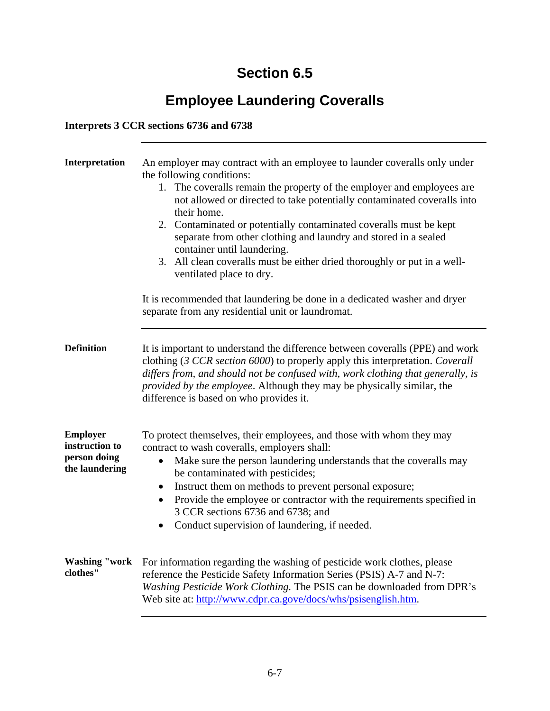# **Employee Laundering Coveralls**

#### **Interprets 3 CCR sections 6736 and 6738**

| Interpretation                                                      | An employer may contract with an employee to launder coveralls only under<br>the following conditions:<br>1. The coveralls remain the property of the employer and employees are<br>not allowed or directed to take potentially contaminated coveralls into<br>their home.<br>2. Contaminated or potentially contaminated coveralls must be kept<br>separate from other clothing and laundry and stored in a sealed<br>container until laundering.<br>3. All clean coveralls must be either dried thoroughly or put in a well-<br>ventilated place to dry. |
|---------------------------------------------------------------------|------------------------------------------------------------------------------------------------------------------------------------------------------------------------------------------------------------------------------------------------------------------------------------------------------------------------------------------------------------------------------------------------------------------------------------------------------------------------------------------------------------------------------------------------------------|
|                                                                     | It is recommended that laundering be done in a dedicated washer and dryer<br>separate from any residential unit or laundromat.                                                                                                                                                                                                                                                                                                                                                                                                                             |
| <b>Definition</b>                                                   | It is important to understand the difference between coveralls (PPE) and work<br>clothing (3 CCR section 6000) to properly apply this interpretation. Coverall<br>differs from, and should not be confused with, work clothing that generally, is<br>provided by the employee. Although they may be physically similar, the<br>difference is based on who provides it.                                                                                                                                                                                     |
| <b>Employer</b><br>instruction to<br>person doing<br>the laundering | To protect themselves, their employees, and those with whom they may<br>contract to wash coveralls, employers shall:<br>Make sure the person laundering understands that the coveralls may<br>$\bullet$<br>be contaminated with pesticides;<br>Instruct them on methods to prevent personal exposure;<br>$\bullet$<br>Provide the employee or contractor with the requirements specified in<br>$\bullet$<br>3 CCR sections 6736 and 6738; and<br>Conduct supervision of laundering, if needed.<br>$\bullet$                                                |
| <b>Washing "work</b><br>clothes"                                    | For information regarding the washing of pesticide work clothes, please<br>reference the Pesticide Safety Information Series (PSIS) A-7 and N-7:<br>Washing Pesticide Work Clothing. The PSIS can be downloaded from DPR's<br>Web site at: http://www.cdpr.ca.gove/docs/whs/psisenglish.htm.                                                                                                                                                                                                                                                               |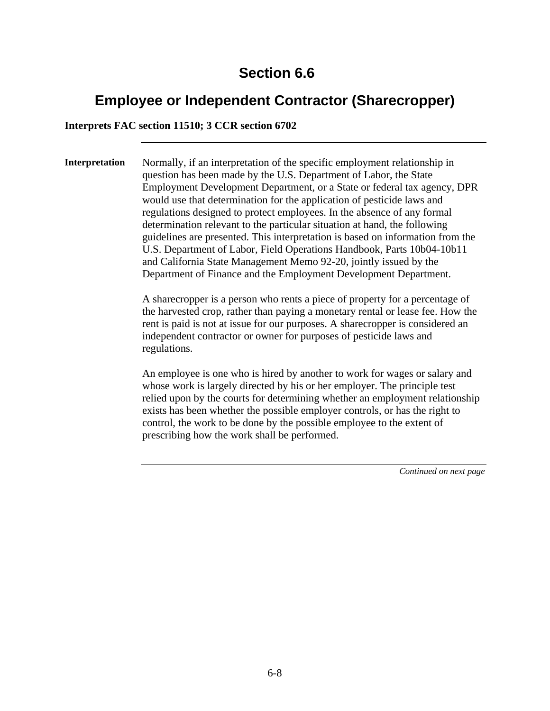### **Employee or Independent Contractor (Sharecropper)**

**Interprets FAC section 11510; 3 CCR section 6702** 

**Interpretation** Normally, if an interpretation of the specific employment relationship in question has been made by the U.S. Department of Labor, the State Employment Development Department, or a State or federal tax agency, DPR would use that determination for the application of pesticide laws and regulations designed to protect employees. In the absence of any formal determination relevant to the particular situation at hand, the following guidelines are presented. This interpretation is based on information from the U.S. Department of Labor, Field Operations Handbook, Parts 10b04-10b11 and California State Management Memo 92-20, jointly issued by the Department of Finance and the Employment Development Department.

> A sharecropper is a person who rents a piece of property for a percentage of the harvested crop, rather than paying a monetary rental or lease fee. How the rent is paid is not at issue for our purposes. A sharecropper is considered an independent contractor or owner for purposes of pesticide laws and regulations.

> An employee is one who is hired by another to work for wages or salary and whose work is largely directed by his or her employer. The principle test relied upon by the courts for determining whether an employment relationship exists has been whether the possible employer controls, or has the right to control, the work to be done by the possible employee to the extent of prescribing how the work shall be performed.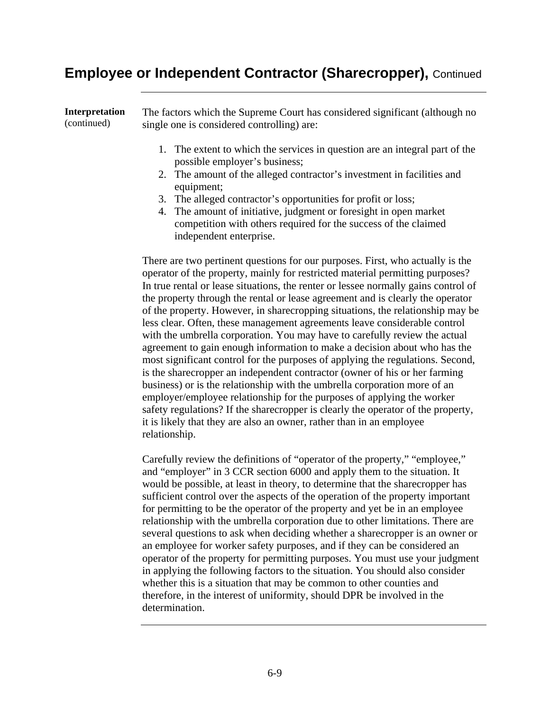#### **Employee or Independent Contractor (Sharecropper),** Continued

| Interpretation | The factors which the Supreme Court has considered significant (although no                                                                                                                                                                                                                                                                                                                                                              |
|----------------|------------------------------------------------------------------------------------------------------------------------------------------------------------------------------------------------------------------------------------------------------------------------------------------------------------------------------------------------------------------------------------------------------------------------------------------|
| (continued)    | single one is considered controlling) are:                                                                                                                                                                                                                                                                                                                                                                                               |
|                | 1. The extent to which the services in question are an integral part of the<br>possible employer's business;<br>2. The amount of the alleged contractor's investment in facilities and<br>equipment;<br>3. The alleged contractor's opportunities for profit or loss;<br>4. The amount of initiative, judgment or foresight in open market<br>competition with others required for the success of the claimed<br>independent enterprise. |

There are two pertinent questions for our purposes. First, who actually is the operator of the property, mainly for restricted material permitting purposes? In true rental or lease situations, the renter or lessee normally gains control of the property through the rental or lease agreement and is clearly the operator of the property. However, in sharecropping situations, the relationship may be less clear. Often, these management agreements leave considerable control with the umbrella corporation. You may have to carefully review the actual agreement to gain enough information to make a decision about who has the most significant control for the purposes of applying the regulations. Second, is the sharecropper an independent contractor (owner of his or her farming business) or is the relationship with the umbrella corporation more of an employer/employee relationship for the purposes of applying the worker safety regulations? If the sharecropper is clearly the operator of the property, it is likely that they are also an owner, rather than in an employee relationship.

Carefully review the definitions of "operator of the property," "employee," and "employer" in 3 CCR section 6000 and apply them to the situation. It would be possible, at least in theory, to determine that the sharecropper has sufficient control over the aspects of the operation of the property important for permitting to be the operator of the property and yet be in an employee relationship with the umbrella corporation due to other limitations. There are several questions to ask when deciding whether a sharecropper is an owner or an employee for worker safety purposes, and if they can be considered an operator of the property for permitting purposes. You must use your judgment in applying the following factors to the situation. You should also consider whether this is a situation that may be common to other counties and therefore, in the interest of uniformity, should DPR be involved in the determination.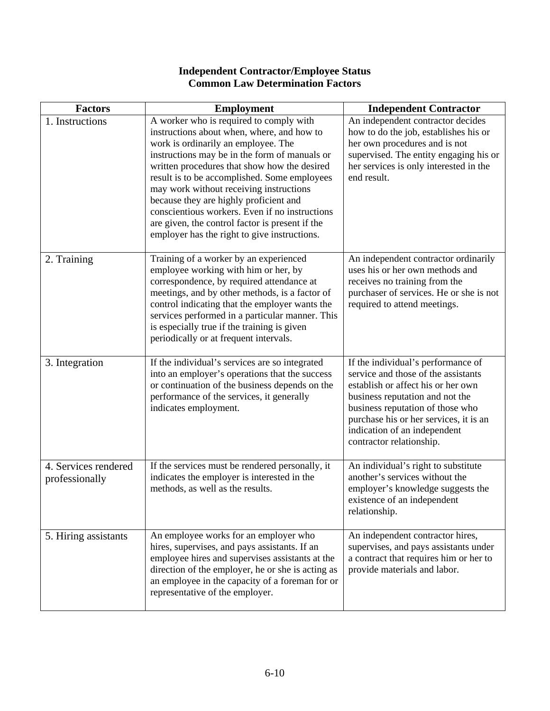| <b>Factors</b>                         | <b>Employment</b>                                                                                                                                                                                                                                                                                                                                                                                                                                                                                                       | <b>Independent Contractor</b>                                                                                                                                                                                                                                                                |
|----------------------------------------|-------------------------------------------------------------------------------------------------------------------------------------------------------------------------------------------------------------------------------------------------------------------------------------------------------------------------------------------------------------------------------------------------------------------------------------------------------------------------------------------------------------------------|----------------------------------------------------------------------------------------------------------------------------------------------------------------------------------------------------------------------------------------------------------------------------------------------|
| 1. Instructions                        | A worker who is required to comply with<br>instructions about when, where, and how to<br>work is ordinarily an employee. The<br>instructions may be in the form of manuals or<br>written procedures that show how the desired<br>result is to be accomplished. Some employees<br>may work without receiving instructions<br>because they are highly proficient and<br>conscientious workers. Even if no instructions<br>are given, the control factor is present if the<br>employer has the right to give instructions. | An independent contractor decides<br>how to do the job, establishes his or<br>her own procedures and is not<br>supervised. The entity engaging his or<br>her services is only interested in the<br>end result.                                                                               |
| 2. Training                            | Training of a worker by an experienced<br>employee working with him or her, by<br>correspondence, by required attendance at<br>meetings, and by other methods, is a factor of<br>control indicating that the employer wants the<br>services performed in a particular manner. This<br>is especially true if the training is given<br>periodically or at frequent intervals.                                                                                                                                             | An independent contractor ordinarily<br>uses his or her own methods and<br>receives no training from the<br>purchaser of services. He or she is not<br>required to attend meetings.                                                                                                          |
| 3. Integration                         | If the individual's services are so integrated<br>into an employer's operations that the success<br>or continuation of the business depends on the<br>performance of the services, it generally<br>indicates employment.                                                                                                                                                                                                                                                                                                | If the individual's performance of<br>service and those of the assistants<br>establish or affect his or her own<br>business reputation and not the<br>business reputation of those who<br>purchase his or her services, it is an<br>indication of an independent<br>contractor relationship. |
| 4. Services rendered<br>professionally | If the services must be rendered personally, it<br>indicates the employer is interested in the<br>methods, as well as the results.                                                                                                                                                                                                                                                                                                                                                                                      | An individual's right to substitute<br>another's services without the<br>employer's knowledge suggests the<br>existence of an independent<br>relationship.                                                                                                                                   |
| 5. Hiring assistants                   | An employee works for an employer who<br>hires, supervises, and pays assistants. If an<br>employee hires and supervises assistants at the<br>direction of the employer, he or she is acting as<br>an employee in the capacity of a foreman for or<br>representative of the employer.                                                                                                                                                                                                                                    | An independent contractor hires,<br>supervises, and pays assistants under<br>a contract that requires him or her to<br>provide materials and labor.                                                                                                                                          |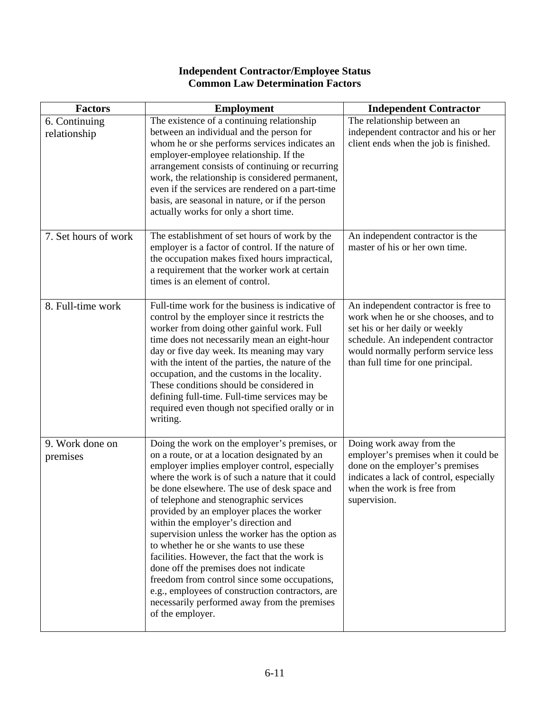| <b>Factors</b>                | <b>Employment</b>                                                                                                                                                                                                                                                                                                                                                                                                                                                                                                                                                                                                                                                                                                                                    | <b>Independent Contractor</b>                                                                                                                                                                                                    |
|-------------------------------|------------------------------------------------------------------------------------------------------------------------------------------------------------------------------------------------------------------------------------------------------------------------------------------------------------------------------------------------------------------------------------------------------------------------------------------------------------------------------------------------------------------------------------------------------------------------------------------------------------------------------------------------------------------------------------------------------------------------------------------------------|----------------------------------------------------------------------------------------------------------------------------------------------------------------------------------------------------------------------------------|
| 6. Continuing<br>relationship | The existence of a continuing relationship<br>between an individual and the person for<br>whom he or she performs services indicates an<br>employer-employee relationship. If the<br>arrangement consists of continuing or recurring<br>work, the relationship is considered permanent,<br>even if the services are rendered on a part-time<br>basis, are seasonal in nature, or if the person<br>actually works for only a short time.                                                                                                                                                                                                                                                                                                              | The relationship between an<br>independent contractor and his or her<br>client ends when the job is finished.                                                                                                                    |
| 7. Set hours of work          | The establishment of set hours of work by the<br>employer is a factor of control. If the nature of<br>the occupation makes fixed hours impractical,<br>a requirement that the worker work at certain<br>times is an element of control.                                                                                                                                                                                                                                                                                                                                                                                                                                                                                                              | An independent contractor is the<br>master of his or her own time.                                                                                                                                                               |
| 8. Full-time work             | Full-time work for the business is indicative of<br>control by the employer since it restricts the<br>worker from doing other gainful work. Full<br>time does not necessarily mean an eight-hour<br>day or five day week. Its meaning may vary<br>with the intent of the parties, the nature of the<br>occupation, and the customs in the locality.<br>These conditions should be considered in<br>defining full-time. Full-time services may be<br>required even though not specified orally or in<br>writing.                                                                                                                                                                                                                                      | An independent contractor is free to<br>work when he or she chooses, and to<br>set his or her daily or weekly<br>schedule. An independent contractor<br>would normally perform service less<br>than full time for one principal. |
| 9. Work done on<br>premises   | Doing the work on the employer's premises, or<br>on a route, or at a location designated by an<br>employer implies employer control, especially<br>where the work is of such a nature that it could<br>be done elsewhere. The use of desk space and<br>of telephone and stenographic services<br>provided by an employer places the worker<br>within the employer's direction and<br>supervision unless the worker has the option as<br>to whether he or she wants to use these<br>facilities. However, the fact that the work is<br>done off the premises does not indicate<br>freedom from control since some occupations,<br>e.g., employees of construction contractors, are<br>necessarily performed away from the premises<br>of the employer. | Doing work away from the<br>employer's premises when it could be<br>done on the employer's premises<br>indicates a lack of control, especially<br>when the work is free from<br>supervision.                                     |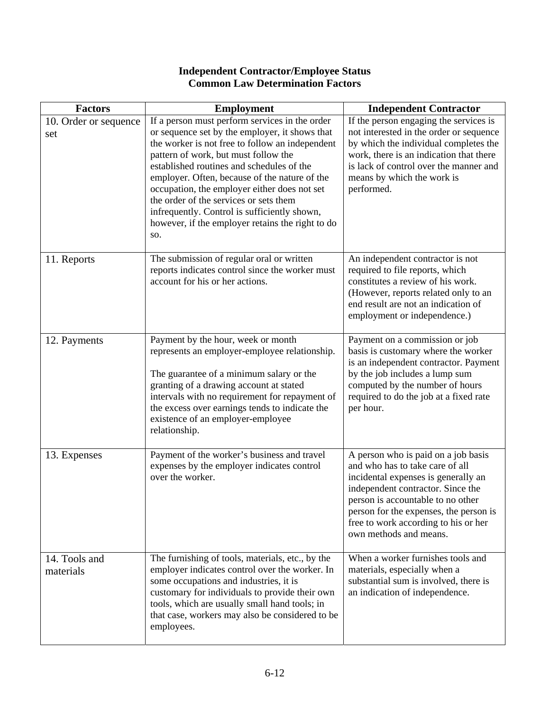| <b>Factors</b>               | <b>Employment</b>                                                                                                                                                                                                                                                                                                                                                                                                                                                                              | <b>Independent Contractor</b>                                                                                                                                                                                                                                                                       |
|------------------------------|------------------------------------------------------------------------------------------------------------------------------------------------------------------------------------------------------------------------------------------------------------------------------------------------------------------------------------------------------------------------------------------------------------------------------------------------------------------------------------------------|-----------------------------------------------------------------------------------------------------------------------------------------------------------------------------------------------------------------------------------------------------------------------------------------------------|
| 10. Order or sequence<br>set | If a person must perform services in the order<br>or sequence set by the employer, it shows that<br>the worker is not free to follow an independent<br>pattern of work, but must follow the<br>established routines and schedules of the<br>employer. Often, because of the nature of the<br>occupation, the employer either does not set<br>the order of the services or sets them<br>infrequently. Control is sufficiently shown,<br>however, if the employer retains the right to do<br>SO. | If the person engaging the services is<br>not interested in the order or sequence<br>by which the individual completes the<br>work, there is an indication that there<br>is lack of control over the manner and<br>means by which the work is<br>performed.                                         |
| 11. Reports                  | The submission of regular oral or written<br>reports indicates control since the worker must<br>account for his or her actions.                                                                                                                                                                                                                                                                                                                                                                | An independent contractor is not<br>required to file reports, which<br>constitutes a review of his work.<br>(However, reports related only to an<br>end result are not an indication of<br>employment or independence.)                                                                             |
| 12. Payments                 | Payment by the hour, week or month<br>represents an employer-employee relationship.<br>The guarantee of a minimum salary or the<br>granting of a drawing account at stated<br>intervals with no requirement for repayment of<br>the excess over earnings tends to indicate the<br>existence of an employer-employee<br>relationship.                                                                                                                                                           | Payment on a commission or job<br>basis is customary where the worker<br>is an independent contractor. Payment<br>by the job includes a lump sum<br>computed by the number of hours<br>required to do the job at a fixed rate<br>per hour.                                                          |
| 13. Expenses                 | Payment of the worker's business and travel<br>expenses by the employer indicates control<br>over the worker.                                                                                                                                                                                                                                                                                                                                                                                  | A person who is paid on a job basis<br>and who has to take care of all<br>incidental expenses is generally an<br>independent contractor. Since the<br>person is accountable to no other<br>person for the expenses, the person is<br>free to work according to his or her<br>own methods and means. |
| 14. Tools and<br>materials   | The furnishing of tools, materials, etc., by the<br>employer indicates control over the worker. In<br>some occupations and industries, it is<br>customary for individuals to provide their own<br>tools, which are usually small hand tools; in<br>that case, workers may also be considered to be<br>employees.                                                                                                                                                                               | When a worker furnishes tools and<br>materials, especially when a<br>substantial sum is involved, there is<br>an indication of independence.                                                                                                                                                        |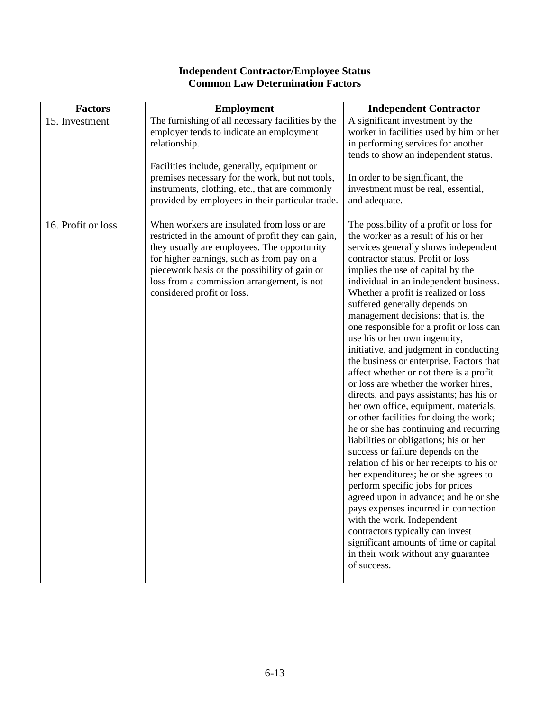#### Factors | Employment Independent Contractor 15. Investment The furnishing of all necessary facilities by the employer tends to indicate an employment relationship. Facilities include, generally, equipment or premises necessary for the work, but not tools, instruments, clothing, etc., that are commonly provided by employees in their particular trade. A significant investment by the worker in facilities used by him or her in performing services for another tends to show an independent status. In order to be significant, the investment must be real, essential, and adequate. 16. Profit or loss When workers are insulated from loss or are restricted in the amount of profit they can gain, they usually are employees. The opportunity for higher earnings, such as from pay on a piecework basis or the possibility of gain or loss from a commission arrangement, is not considered profit or loss. The possibility of a profit or loss for the worker as a result of his or her services generally shows independent contractor status. Profit or loss implies the use of capital by the individual in an independent business. Whether a profit is realized or loss suffered generally depends on management decisions: that is, the one responsible for a profit or loss can use his or her own ingenuity, initiative, and judgment in conducting the business or enterprise. Factors that affect whether or not there is a profit or loss are whether the worker hires, directs, and pays assistants; has his or her own office, equipment, materials, or other facilities for doing the work; he or she has continuing and recurring liabilities or obligations; his or her success or failure depends on the relation of his or her receipts to his or her expenditures; he or she agrees to perform specific jobs for prices agreed upon in advance; and he or she pays expenses incurred in connection with the work. Independent contractors typically can invest significant amounts of time or capital in their work without any guarantee of success.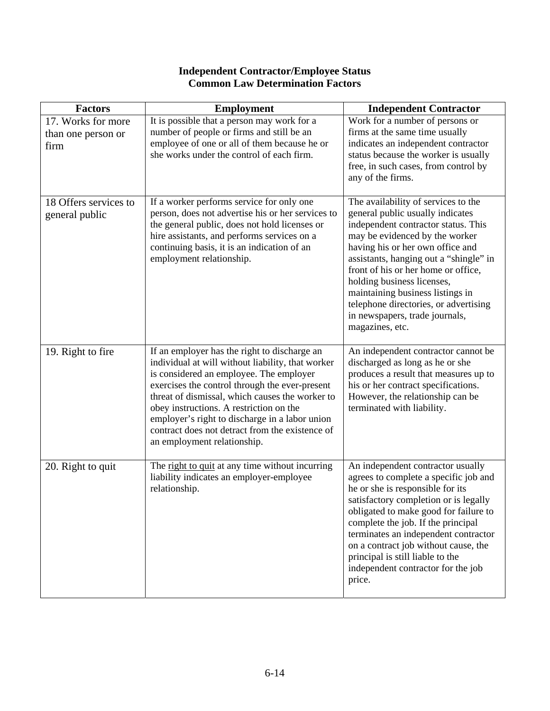| <b>Factors</b>                                   | <b>Employment</b>                                                                                                                                                                                                                                                                                                                                                                                                                | <b>Independent Contractor</b>                                                                                                                                                                                                                                                                                                                                                                                                         |
|--------------------------------------------------|----------------------------------------------------------------------------------------------------------------------------------------------------------------------------------------------------------------------------------------------------------------------------------------------------------------------------------------------------------------------------------------------------------------------------------|---------------------------------------------------------------------------------------------------------------------------------------------------------------------------------------------------------------------------------------------------------------------------------------------------------------------------------------------------------------------------------------------------------------------------------------|
| 17. Works for more<br>than one person or<br>firm | It is possible that a person may work for a<br>number of people or firms and still be an<br>employee of one or all of them because he or<br>she works under the control of each firm.                                                                                                                                                                                                                                            | Work for a number of persons or<br>firms at the same time usually<br>indicates an independent contractor<br>status because the worker is usually<br>free, in such cases, from control by<br>any of the firms.                                                                                                                                                                                                                         |
| 18 Offers services to<br>general public          | If a worker performs service for only one<br>person, does not advertise his or her services to<br>the general public, does not hold licenses or<br>hire assistants, and performs services on a<br>continuing basis, it is an indication of an<br>employment relationship.                                                                                                                                                        | The availability of services to the<br>general public usually indicates<br>independent contractor status. This<br>may be evidenced by the worker<br>having his or her own office and<br>assistants, hanging out a "shingle" in<br>front of his or her home or office,<br>holding business licenses,<br>maintaining business listings in<br>telephone directories, or advertising<br>in newspapers, trade journals,<br>magazines, etc. |
| 19. Right to fire                                | If an employer has the right to discharge an<br>individual at will without liability, that worker<br>is considered an employee. The employer<br>exercises the control through the ever-present<br>threat of dismissal, which causes the worker to<br>obey instructions. A restriction on the<br>employer's right to discharge in a labor union<br>contract does not detract from the existence of<br>an employment relationship. | An independent contractor cannot be<br>discharged as long as he or she<br>produces a result that measures up to<br>his or her contract specifications.<br>However, the relationship can be<br>terminated with liability.                                                                                                                                                                                                              |
| 20. Right to quit                                | The right to quit at any time without incurring<br>liability indicates an employer-employee<br>relationship.                                                                                                                                                                                                                                                                                                                     | An independent contractor usually<br>agrees to complete a specific job and<br>he or she is responsible for its<br>satisfactory completion or is legally<br>obligated to make good for failure to<br>complete the job. If the principal<br>terminates an independent contractor<br>on a contract job without cause, the<br>principal is still liable to the<br>independent contractor for the job<br>price.                            |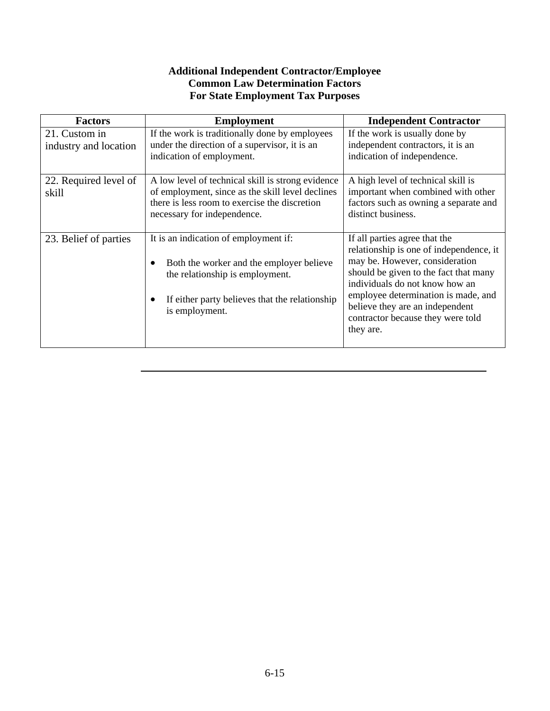#### **Additional Independent Contractor/Employee Common Law Determination Factors For State Employment Tax Purposes**

| <b>Factors</b>                         | <b>Employment</b>                                                                                                                                                                        | <b>Independent Contractor</b>                                                                                                                                                                                                                                                                                     |
|----------------------------------------|------------------------------------------------------------------------------------------------------------------------------------------------------------------------------------------|-------------------------------------------------------------------------------------------------------------------------------------------------------------------------------------------------------------------------------------------------------------------------------------------------------------------|
| 21. Custom in<br>industry and location | If the work is traditionally done by employees<br>under the direction of a supervisor, it is an<br>indication of employment.                                                             | If the work is usually done by<br>independent contractors, it is an<br>indication of independence.                                                                                                                                                                                                                |
| 22. Required level of<br>skill         | A low level of technical skill is strong evidence<br>of employment, since as the skill level declines<br>there is less room to exercise the discretion<br>necessary for independence.    | A high level of technical skill is<br>important when combined with other<br>factors such as owning a separate and<br>distinct business.                                                                                                                                                                           |
| 23. Belief of parties                  | It is an indication of employment if:<br>Both the worker and the employer believe<br>the relationship is employment.<br>If either party believes that the relationship<br>is employment. | If all parties agree that the<br>relationship is one of independence, it<br>may be. However, consideration<br>should be given to the fact that many<br>individuals do not know how an<br>employee determination is made, and<br>believe they are an independent<br>contractor because they were told<br>they are. |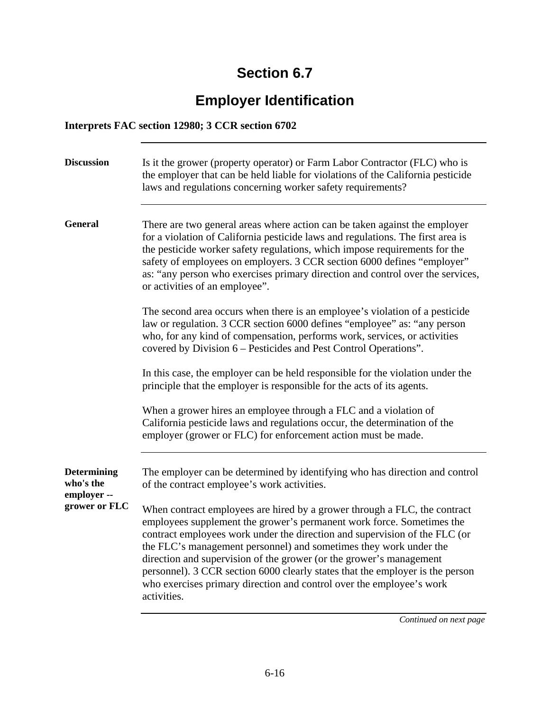# **Employer Identification**

#### **Interprets FAC section 12980; 3 CCR section 6702**

| <b>Discussion</b>                              | Is it the grower (property operator) or Farm Labor Contractor (FLC) who is<br>the employer that can be held liable for violations of the California pesticide<br>laws and regulations concerning worker safety requirements?                                                                                                                                                                                                                                                                                                                         |
|------------------------------------------------|------------------------------------------------------------------------------------------------------------------------------------------------------------------------------------------------------------------------------------------------------------------------------------------------------------------------------------------------------------------------------------------------------------------------------------------------------------------------------------------------------------------------------------------------------|
| <b>General</b>                                 | There are two general areas where action can be taken against the employer<br>for a violation of California pesticide laws and regulations. The first area is<br>the pesticide worker safety regulations, which impose requirements for the<br>safety of employees on employers. 3 CCR section 6000 defines "employer"<br>as: "any person who exercises primary direction and control over the services,<br>or activities of an employee".                                                                                                           |
|                                                | The second area occurs when there is an employee's violation of a pesticide<br>law or regulation. 3 CCR section 6000 defines "employee" as: "any person<br>who, for any kind of compensation, performs work, services, or activities<br>covered by Division 6 – Pesticides and Pest Control Operations".                                                                                                                                                                                                                                             |
|                                                | In this case, the employer can be held responsible for the violation under the<br>principle that the employer is responsible for the acts of its agents.                                                                                                                                                                                                                                                                                                                                                                                             |
|                                                | When a grower hires an employee through a FLC and a violation of<br>California pesticide laws and regulations occur, the determination of the<br>employer (grower or FLC) for enforcement action must be made.                                                                                                                                                                                                                                                                                                                                       |
| <b>Determining</b><br>who's the<br>employer -- | The employer can be determined by identifying who has direction and control<br>of the contract employee's work activities.                                                                                                                                                                                                                                                                                                                                                                                                                           |
| grower or FLC                                  | When contract employees are hired by a grower through a FLC, the contract<br>employees supplement the grower's permanent work force. Sometimes the<br>contract employees work under the direction and supervision of the FLC (or<br>the FLC's management personnel) and sometimes they work under the<br>direction and supervision of the grower (or the grower's management<br>personnel). 3 CCR section 6000 clearly states that the employer is the person<br>who exercises primary direction and control over the employee's work<br>activities. |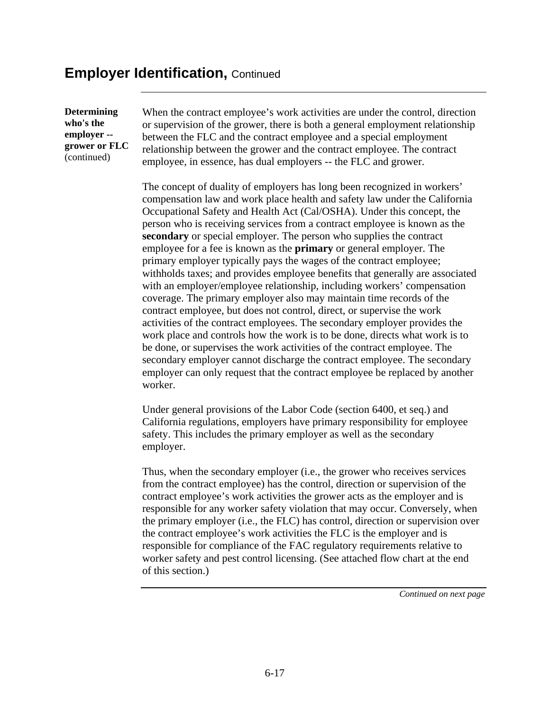#### **Employer Identification, Continued**

**Determining who's the employer - grower or FLC** (continued)

When the contract employee's work activities are under the control, direction or supervision of the grower, there is both a general employment relationship between the FLC and the contract employee and a special employment relationship between the grower and the contract employee. The contract employee, in essence, has dual employers -- the FLC and grower.

The concept of duality of employers has long been recognized in workers' compensation law and work place health and safety law under the California Occupational Safety and Health Act (Cal/OSHA). Under this concept, the person who is receiving services from a contract employee is known as the **secondary** or special employer. The person who supplies the contract employee for a fee is known as the **primary** or general employer. The primary employer typically pays the wages of the contract employee; withholds taxes; and provides employee benefits that generally are associated with an employer/employee relationship, including workers' compensation coverage. The primary employer also may maintain time records of the contract employee, but does not control, direct, or supervise the work activities of the contract employees. The secondary employer provides the work place and controls how the work is to be done, directs what work is to be done, or supervises the work activities of the contract employee. The secondary employer cannot discharge the contract employee. The secondary employer can only request that the contract employee be replaced by another worker.

Under general provisions of the Labor Code (section 6400, et seq.) and California regulations, employers have primary responsibility for employee safety. This includes the primary employer as well as the secondary employer.

Thus, when the secondary employer (i.e., the grower who receives services from the contract employee) has the control, direction or supervision of the contract employee's work activities the grower acts as the employer and is responsible for any worker safety violation that may occur. Conversely, when the primary employer (i.e., the FLC) has control, direction or supervision over the contract employee's work activities the FLC is the employer and is responsible for compliance of the FAC regulatory requirements relative to worker safety and pest control licensing. (See attached flow chart at the end of this section.)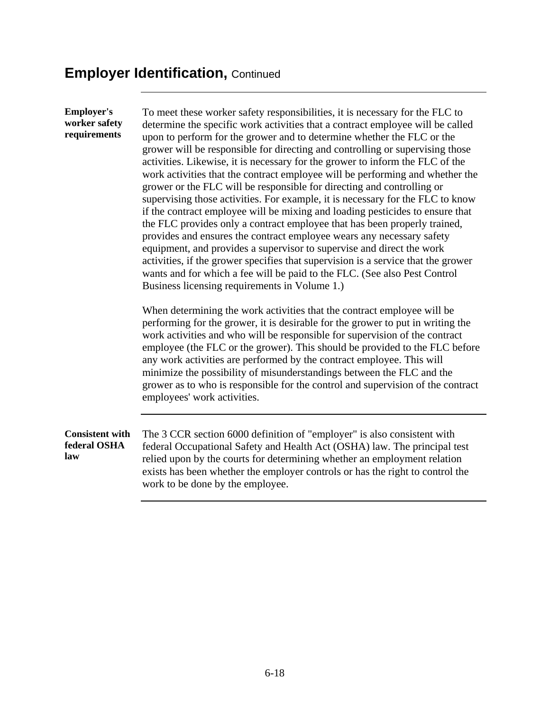#### **Employer Identification, Continued**

**Employer's worker safety requirements**  To meet these worker safety responsibilities, it is necessary for the FLC to determine the specific work activities that a contract employee will be called upon to perform for the grower and to determine whether the FLC or the grower will be responsible for directing and controlling or supervising those activities. Likewise, it is necessary for the grower to inform the FLC of the work activities that the contract employee will be performing and whether the grower or the FLC will be responsible for directing and controlling or supervising those activities. For example, it is necessary for the FLC to know if the contract employee will be mixing and loading pesticides to ensure that the FLC provides only a contract employee that has been properly trained, provides and ensures the contract employee wears any necessary safety equipment, and provides a supervisor to supervise and direct the work activities, if the grower specifies that supervision is a service that the grower wants and for which a fee will be paid to the FLC. (See also Pest Control Business licensing requirements in Volume 1.) When determining the work activities that the contract employee will be performing for the grower, it is desirable for the grower to put in writing the work activities and who will be responsible for supervision of the contract employee (the FLC or the grower). This should be provided to the FLC before any work activities are performed by the contract employee. This will minimize the possibility of misunderstandings between the FLC and the grower as to who is responsible for the control and supervision of the contract employees' work activities. **Consistent with federal OSHA law**  The 3 CCR section 6000 definition of "employer" is also consistent with federal Occupational Safety and Health Act (OSHA) law. The principal test relied upon by the courts for determining whether an employment relation exists has been whether the employer controls or has the right to control the work to be done by the employee.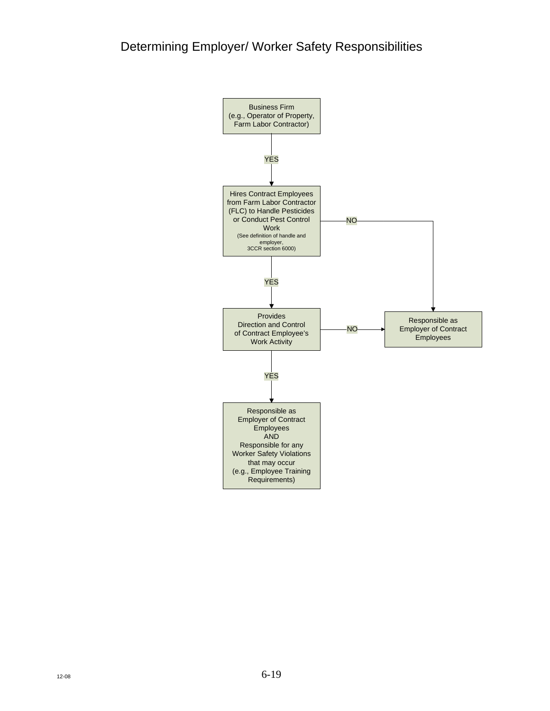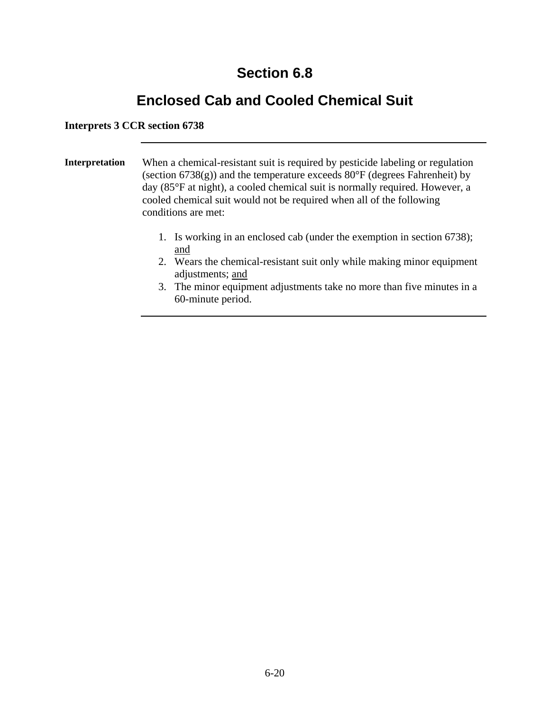### **Enclosed Cab and Cooled Chemical Suit**

#### **Interprets 3 CCR section 6738**

**Interpretation** When a chemical-resistant suit is required by pesticide labeling or regulation (section  $6738(g)$ ) and the temperature exceeds  $80^{\circ}$ F (degrees Fahrenheit) by day (85°F at night), a cooled chemical suit is normally required. However, a cooled chemical suit would not be required when all of the following conditions are met:

- 1. Is working in an enclosed cab (under the exemption in section 6738); and
- 2. Wears the chemical-resistant suit only while making minor equipment adjustments; and
- 3. The minor equipment adjustments take no more than five minutes in a 60-minute period.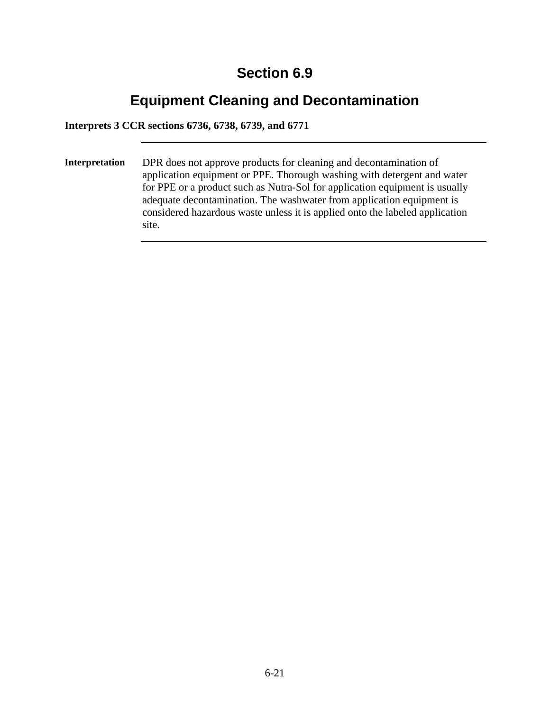### **Equipment Cleaning and Decontamination**

**Interprets 3 CCR sections 6736, 6738, 6739, and 6771** 

**Interpretation** DPR does not approve products for cleaning and decontamination of application equipment or PPE. Thorough washing with detergent and water for PPE or a product such as Nutra-Sol for application equipment is usually adequate decontamination. The washwater from application equipment is considered hazardous waste unless it is applied onto the labeled application site.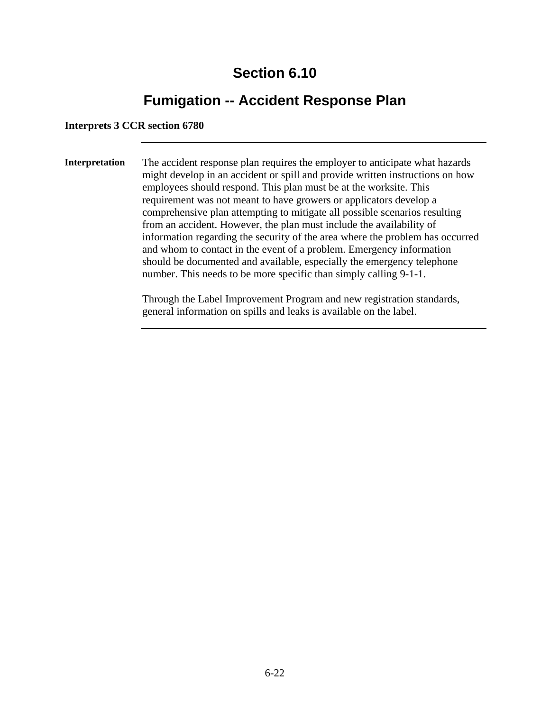### **Fumigation -- Accident Response Plan**

#### **Interprets 3 CCR section 6780**

**Interpretation** The accident response plan requires the employer to anticipate what hazards might develop in an accident or spill and provide written instructions on how employees should respond. This plan must be at the worksite. This requirement was not meant to have growers or applicators develop a comprehensive plan attempting to mitigate all possible scenarios resulting from an accident. However, the plan must include the availability of information regarding the security of the area where the problem has occurred and whom to contact in the event of a problem. Emergency information should be documented and available, especially the emergency telephone number. This needs to be more specific than simply calling 9-1-1.

> Through the Label Improvement Program and new registration standards, general information on spills and leaks is available on the label.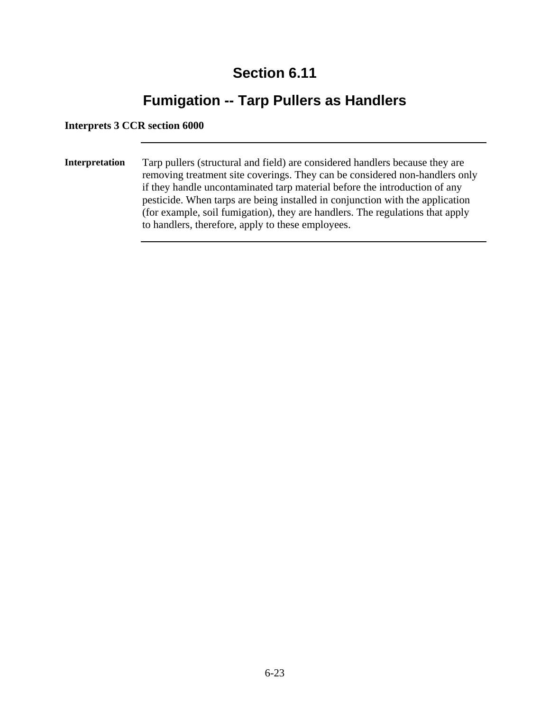### **Fumigation -- Tarp Pullers as Handlers**

#### **Interprets 3 CCR section 6000**

**Interpretation** Tarp pullers (structural and field) are considered handlers because they are removing treatment site coverings. They can be considered non-handlers only if they handle uncontaminated tarp material before the introduction of any pesticide. When tarps are being installed in conjunction with the application (for example, soil fumigation), they are handlers. The regulations that apply to handlers, therefore, apply to these employees.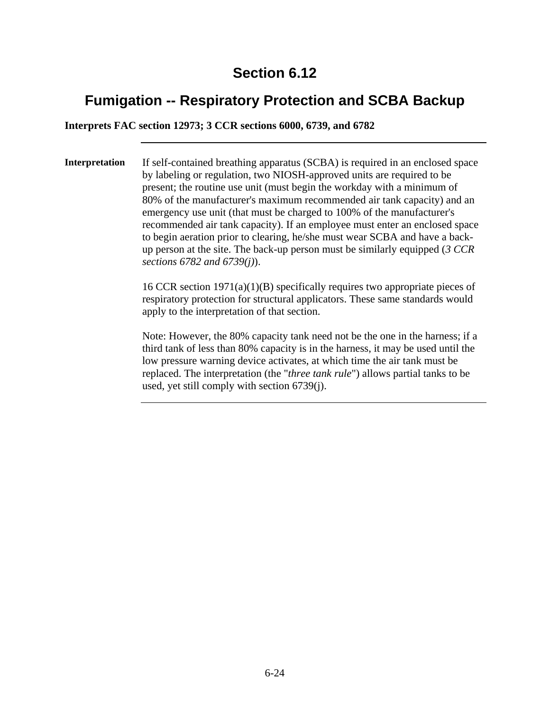### **Fumigation -- Respiratory Protection and SCBA Backup**

**Interprets FAC section 12973; 3 CCR sections 6000, 6739, and 6782** 

**Interpretation** If self-contained breathing apparatus (SCBA) is required in an enclosed space by labeling or regulation, two NIOSH-approved units are required to be present; the routine use unit (must begin the workday with a minimum of 80% of the manufacturer's maximum recommended air tank capacity) and an emergency use unit (that must be charged to 100% of the manufacturer's recommended air tank capacity). If an employee must enter an enclosed space to begin aeration prior to clearing, he/she must wear SCBA and have a backup person at the site. The back-up person must be similarly equipped (*3 CCR sections 6782 and 6739(j)*).

> 16 CCR section 1971(a)(1)(B) specifically requires two appropriate pieces of respiratory protection for structural applicators. These same standards would apply to the interpretation of that section.

> Note: However, the 80% capacity tank need not be the one in the harness; if a third tank of less than 80% capacity is in the harness, it may be used until the low pressure warning device activates, at which time the air tank must be replaced. The interpretation (the "*three tank rule*") allows partial tanks to be used, yet still comply with section 6739(j).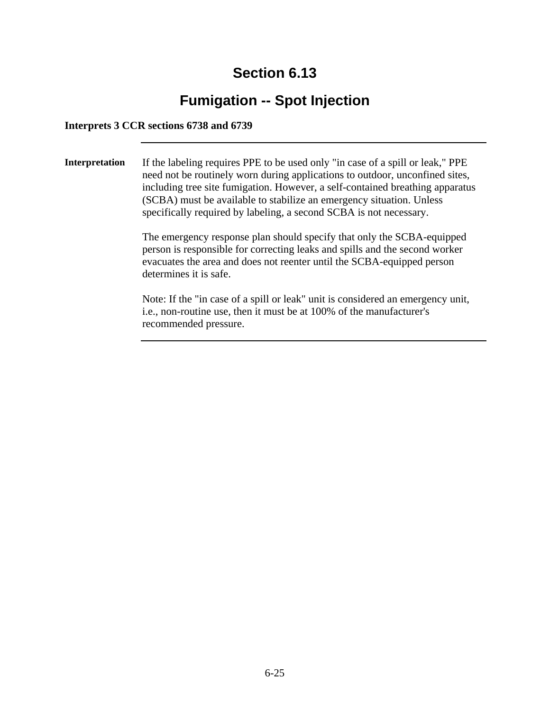### **Fumigation -- Spot Injection**

#### **Interprets 3 CCR sections 6738 and 6739**

**Interpretation** If the labeling requires PPE to be used only "in case of a spill or leak," PPE need not be routinely worn during applications to outdoor, unconfined sites, including tree site fumigation. However, a self-contained breathing apparatus (SCBA) must be available to stabilize an emergency situation. Unless specifically required by labeling, a second SCBA is not necessary.

> The emergency response plan should specify that only the SCBA-equipped person is responsible for correcting leaks and spills and the second worker evacuates the area and does not reenter until the SCBA-equipped person determines it is safe.

> Note: If the "in case of a spill or leak" unit is considered an emergency unit, i.e., non-routine use, then it must be at 100% of the manufacturer's recommended pressure.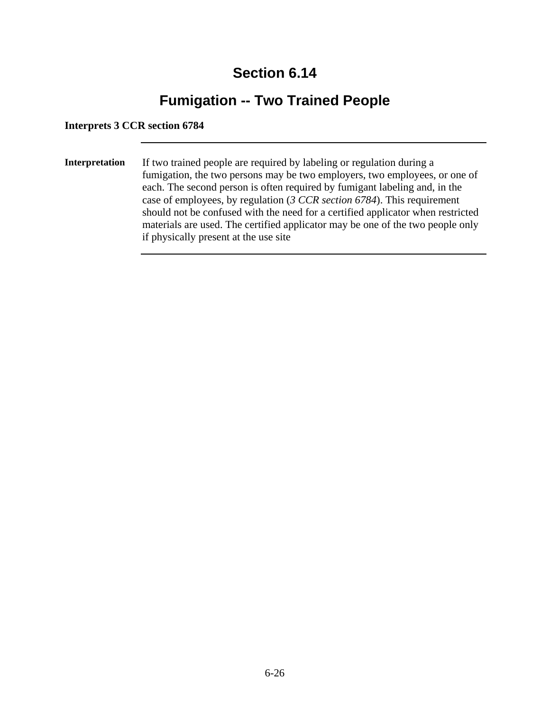### **Fumigation -- Two Trained People**

#### **Interprets 3 CCR section 6784**

**Interpretation** If two trained people are required by labeling or regulation during a fumigation, the two persons may be two employers, two employees, or one of each. The second person is often required by fumigant labeling and, in the case of employees, by regulation (*3 CCR section 6784*). This requirement should not be confused with the need for a certified applicator when restricted materials are used. The certified applicator may be one of the two people only if physically present at the use site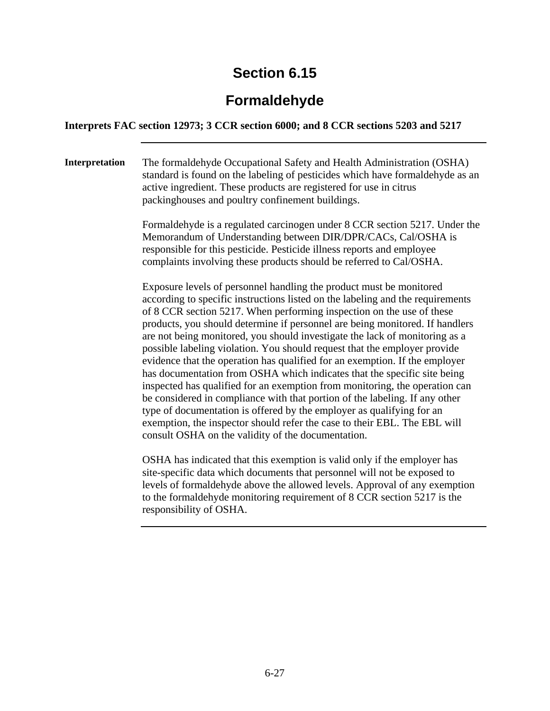### **Formaldehyde**

#### **Interprets FAC section 12973; 3 CCR section 6000; and 8 CCR sections 5203 and 5217**

**Interpretation** The formaldehyde Occupational Safety and Health Administration (OSHA) standard is found on the labeling of pesticides which have formaldehyde as an active ingredient. These products are registered for use in citrus packinghouses and poultry confinement buildings.

> Formaldehyde is a regulated carcinogen under 8 CCR section 5217. Under the Memorandum of Understanding between DIR/DPR/CACs, Cal/OSHA is responsible for this pesticide. Pesticide illness reports and employee complaints involving these products should be referred to Cal/OSHA.

Exposure levels of personnel handling the product must be monitored according to specific instructions listed on the labeling and the requirements of 8 CCR section 5217. When performing inspection on the use of these products, you should determine if personnel are being monitored. If handlers are not being monitored, you should investigate the lack of monitoring as a possible labeling violation. You should request that the employer provide evidence that the operation has qualified for an exemption. If the employer has documentation from OSHA which indicates that the specific site being inspected has qualified for an exemption from monitoring, the operation can be considered in compliance with that portion of the labeling. If any other type of documentation is offered by the employer as qualifying for an exemption, the inspector should refer the case to their EBL. The EBL will consult OSHA on the validity of the documentation.

OSHA has indicated that this exemption is valid only if the employer has site-specific data which documents that personnel will not be exposed to levels of formaldehyde above the allowed levels. Approval of any exemption to the formaldehyde monitoring requirement of 8 CCR section 5217 is the responsibility of OSHA.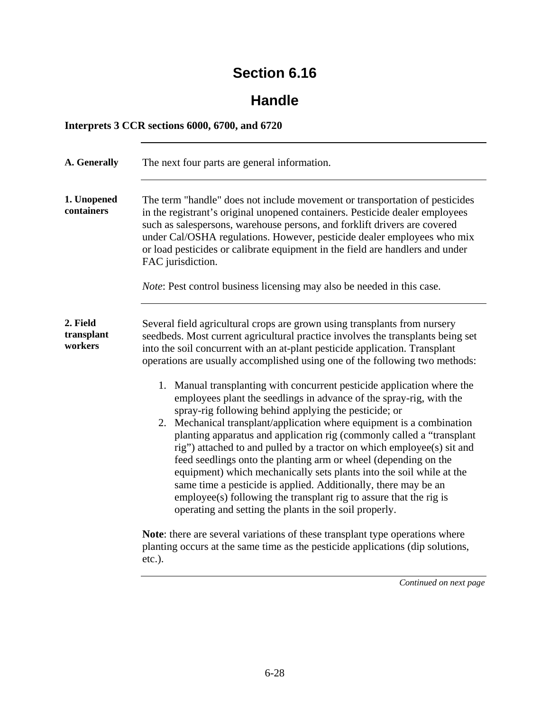### **Handle**

#### **Interprets 3 CCR sections 6000, 6700, and 6720**

| A. Generally                      | The next four parts are general information.                                                                                                                                                                                                                                                                                                                                                                                                                                                                                                                                                                                                                                                                                                                                                                                                                                                                                                                                                                                                                                                                                                                                                                                                                                                |
|-----------------------------------|---------------------------------------------------------------------------------------------------------------------------------------------------------------------------------------------------------------------------------------------------------------------------------------------------------------------------------------------------------------------------------------------------------------------------------------------------------------------------------------------------------------------------------------------------------------------------------------------------------------------------------------------------------------------------------------------------------------------------------------------------------------------------------------------------------------------------------------------------------------------------------------------------------------------------------------------------------------------------------------------------------------------------------------------------------------------------------------------------------------------------------------------------------------------------------------------------------------------------------------------------------------------------------------------|
| 1. Unopened<br>containers         | The term "handle" does not include movement or transportation of pesticides<br>in the registrant's original unopened containers. Pesticide dealer employees<br>such as salespersons, warehouse persons, and forklift drivers are covered<br>under Cal/OSHA regulations. However, pesticide dealer employees who mix<br>or load pesticides or calibrate equipment in the field are handlers and under<br>FAC jurisdiction.<br><i>Note:</i> Pest control business licensing may also be needed in this case.                                                                                                                                                                                                                                                                                                                                                                                                                                                                                                                                                                                                                                                                                                                                                                                  |
| 2. Field<br>transplant<br>workers | Several field agricultural crops are grown using transplants from nursery<br>seedbeds. Most current agricultural practice involves the transplants being set<br>into the soil concurrent with an at-plant pesticide application. Transplant<br>operations are usually accomplished using one of the following two methods:<br>1. Manual transplanting with concurrent pesticide application where the<br>employees plant the seedlings in advance of the spray-rig, with the<br>spray-rig following behind applying the pesticide; or<br>2. Mechanical transplant/application where equipment is a combination<br>planting apparatus and application rig (commonly called a "transplant<br>rig") attached to and pulled by a tractor on which employee(s) sit and<br>feed seedlings onto the planting arm or wheel (depending on the<br>equipment) which mechanically sets plants into the soil while at the<br>same time a pesticide is applied. Additionally, there may be an<br>employee(s) following the transplant rig to assure that the rig is<br>operating and setting the plants in the soil properly.<br>Note: there are several variations of these transplant type operations where<br>planting occurs at the same time as the pesticide applications (dip solutions,<br>etc.). |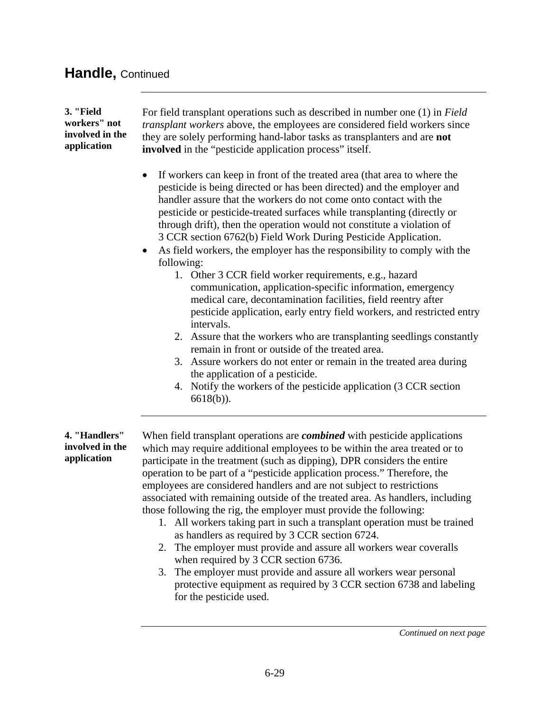#### **Handle,** Continued

#### **3. "Field workers" not involved in the application**

For field transplant operations such as described in number one (1) in *Field transplant workers* above, the employees are considered field workers since they are solely performing hand-labor tasks as transplanters and are **not involved** in the "pesticide application process" itself.

- If workers can keep in front of the treated area (that area to where the pesticide is being directed or has been directed) and the employer and handler assure that the workers do not come onto contact with the pesticide or pesticide-treated surfaces while transplanting (directly or through drift), then the operation would not constitute a violation of 3 CCR section 6762(b) Field Work During Pesticide Application.
- As field workers, the employer has the responsibility to comply with the following:
	- 1. Other 3 CCR field worker requirements, e.g., hazard communication, application-specific information, emergency medical care, decontamination facilities, field reentry after pesticide application, early entry field workers, and restricted entry intervals.
	- 2. Assure that the workers who are transplanting seedlings constantly remain in front or outside of the treated area.
	- 3. Assure workers do not enter or remain in the treated area during the application of a pesticide.
	- 4. Notify the workers of the pesticide application (3 CCR section 6618(b)).

#### **4. "Handlers" involved in the application**

When field transplant operations are *combined* with pesticide applications which may require additional employees to be within the area treated or to participate in the treatment (such as dipping), DPR considers the entire operation to be part of a "pesticide application process." Therefore, the employees are considered handlers and are not subject to restrictions associated with remaining outside of the treated area. As handlers, including those following the rig, the employer must provide the following:

- 1. All workers taking part in such a transplant operation must be trained as handlers as required by 3 CCR section 6724.
- 2. The employer must provide and assure all workers wear coveralls when required by 3 CCR section 6736.
- 3. The employer must provide and assure all workers wear personal protective equipment as required by 3 CCR section 6738 and labeling for the pesticide used.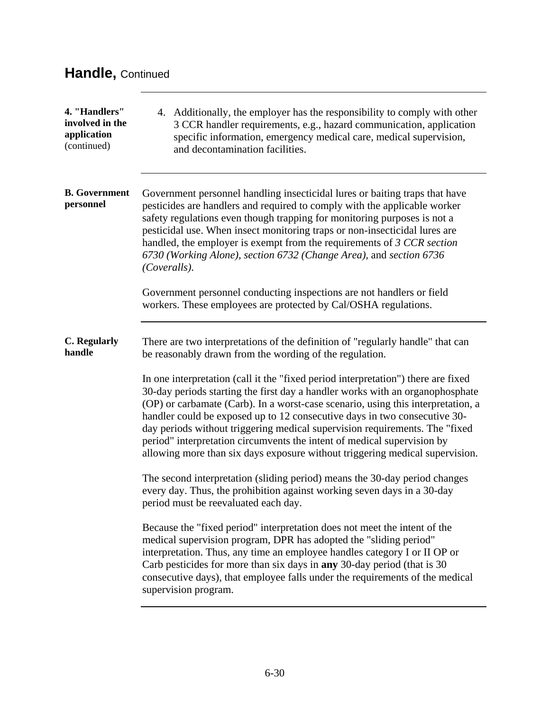| 4. "Handlers"<br>involved in the<br>application<br>(continued) | 4. Additionally, the employer has the responsibility to comply with other<br>3 CCR handler requirements, e.g., hazard communication, application<br>specific information, emergency medical care, medical supervision,<br>and decontamination facilities.                                                                                                                                                                                                                                                                                                                     |
|----------------------------------------------------------------|-------------------------------------------------------------------------------------------------------------------------------------------------------------------------------------------------------------------------------------------------------------------------------------------------------------------------------------------------------------------------------------------------------------------------------------------------------------------------------------------------------------------------------------------------------------------------------|
| <b>B.</b> Government<br>personnel                              | Government personnel handling insecticidal lures or baiting traps that have<br>pesticides are handlers and required to comply with the applicable worker<br>safety regulations even though trapping for monitoring purposes is not a<br>pesticidal use. When insect monitoring traps or non-insecticidal lures are<br>handled, the employer is exempt from the requirements of 3 CCR section<br>6730 (Working Alone), section 6732 (Change Area), and section 6736<br>(Coveralls).                                                                                            |
|                                                                | Government personnel conducting inspections are not handlers or field<br>workers. These employees are protected by Cal/OSHA regulations.                                                                                                                                                                                                                                                                                                                                                                                                                                      |
| <b>C.</b> Regularly<br>handle                                  | There are two interpretations of the definition of "regularly handle" that can<br>be reasonably drawn from the wording of the regulation.                                                                                                                                                                                                                                                                                                                                                                                                                                     |
|                                                                | In one interpretation (call it the "fixed period interpretation") there are fixed<br>30-day periods starting the first day a handler works with an organophosphate<br>(OP) or carbamate (Carb). In a worst-case scenario, using this interpretation, a<br>handler could be exposed up to 12 consecutive days in two consecutive 30-<br>day periods without triggering medical supervision requirements. The "fixed<br>period" interpretation circumvents the intent of medical supervision by<br>allowing more than six days exposure without triggering medical supervision. |
|                                                                | The second interpretation (sliding period) means the 30-day period changes<br>every day. Thus, the prohibition against working seven days in a 30-day<br>period must be reevaluated each day.                                                                                                                                                                                                                                                                                                                                                                                 |
|                                                                | Because the "fixed period" interpretation does not meet the intent of the<br>medical supervision program, DPR has adopted the "sliding period"<br>interpretation. Thus, any time an employee handles category I or II OP or<br>Carb pesticides for more than six days in any 30-day period (that is 30<br>consecutive days), that employee falls under the requirements of the medical<br>supervision program.                                                                                                                                                                |

<u> 1980 - Johann Barn, mars an t-Amerikaansk kommunister (</u>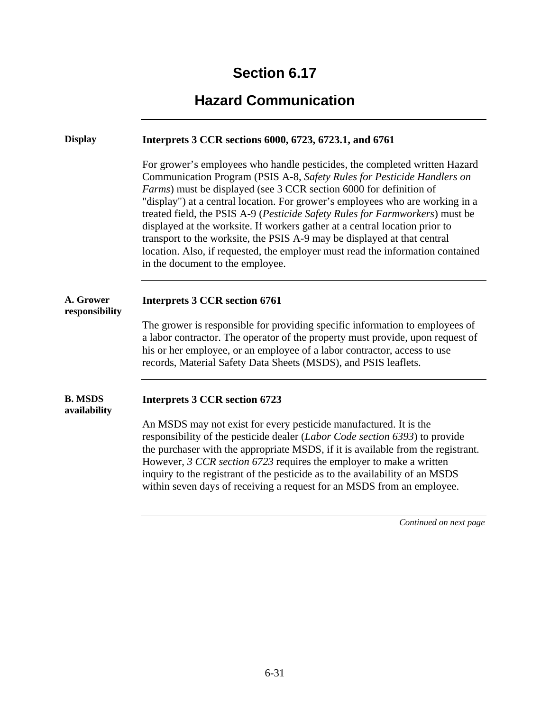# **Hazard Communication**

| <b>Display</b>                 | Interprets 3 CCR sections 6000, 6723, 6723.1, and 6761                                                                                                                                                                                                                                                                                                                                                                                                                                                                                                                                                                                                                        |
|--------------------------------|-------------------------------------------------------------------------------------------------------------------------------------------------------------------------------------------------------------------------------------------------------------------------------------------------------------------------------------------------------------------------------------------------------------------------------------------------------------------------------------------------------------------------------------------------------------------------------------------------------------------------------------------------------------------------------|
|                                | For grower's employees who handle pesticides, the completed written Hazard<br>Communication Program (PSIS A-8, Safety Rules for Pesticide Handlers on<br>Farms) must be displayed (see 3 CCR section 6000 for definition of<br>"display") at a central location. For grower's employees who are working in a<br>treated field, the PSIS A-9 (Pesticide Safety Rules for Farmworkers) must be<br>displayed at the worksite. If workers gather at a central location prior to<br>transport to the worksite, the PSIS A-9 may be displayed at that central<br>location. Also, if requested, the employer must read the information contained<br>in the document to the employee. |
| A. Grower<br>responsibility    | <b>Interprets 3 CCR section 6761</b>                                                                                                                                                                                                                                                                                                                                                                                                                                                                                                                                                                                                                                          |
|                                | The grower is responsible for providing specific information to employees of<br>a labor contractor. The operator of the property must provide, upon request of<br>his or her employee, or an employee of a labor contractor, access to use<br>records, Material Safety Data Sheets (MSDS), and PSIS leaflets.                                                                                                                                                                                                                                                                                                                                                                 |
| <b>B. MSDS</b><br>availability | <b>Interprets 3 CCR section 6723</b>                                                                                                                                                                                                                                                                                                                                                                                                                                                                                                                                                                                                                                          |
|                                | An MSDS may not exist for every pesticide manufactured. It is the<br>responsibility of the pesticide dealer (Labor Code section 6393) to provide<br>the purchaser with the appropriate MSDS, if it is available from the registrant.<br>However, 3 CCR section 6723 requires the employer to make a written<br>inquiry to the registrant of the pesticide as to the availability of an MSDS<br>within seven days of receiving a request for an MSDS from an employee.                                                                                                                                                                                                         |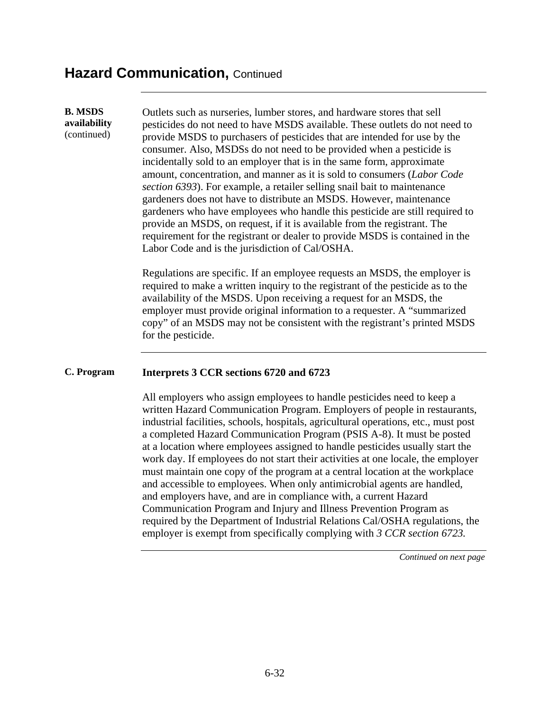#### **Hazard Communication, Continued**

**B. MSDS availability**  (continued)

Outlets such as nurseries, lumber stores, and hardware stores that sell pesticides do not need to have MSDS available. These outlets do not need to provide MSDS to purchasers of pesticides that are intended for use by the consumer. Also, MSDSs do not need to be provided when a pesticide is incidentally sold to an employer that is in the same form, approximate amount, concentration, and manner as it is sold to consumers (*Labor Code section 6393*). For example, a retailer selling snail bait to maintenance gardeners does not have to distribute an MSDS. However, maintenance gardeners who have employees who handle this pesticide are still required to provide an MSDS, on request, if it is available from the registrant. The requirement for the registrant or dealer to provide MSDS is contained in the Labor Code and is the jurisdiction of Cal/OSHA.

Regulations are specific. If an employee requests an MSDS, the employer is required to make a written inquiry to the registrant of the pesticide as to the availability of the MSDS. Upon receiving a request for an MSDS, the employer must provide original information to a requester. A "summarized copy" of an MSDS may not be consistent with the registrant's printed MSDS for the pesticide.

#### **C. Program Interprets 3 CCR sections 6720 and 6723**

All employers who assign employees to handle pesticides need to keep a written Hazard Communication Program. Employers of people in restaurants, industrial facilities, schools, hospitals, agricultural operations, etc., must post a completed Hazard Communication Program (PSIS A-8). It must be posted at a location where employees assigned to handle pesticides usually start the work day. If employees do not start their activities at one locale, the employer must maintain one copy of the program at a central location at the workplace and accessible to employees. When only antimicrobial agents are handled, and employers have, and are in compliance with, a current Hazard Communication Program and Injury and Illness Prevention Program as required by the Department of Industrial Relations Cal/OSHA regulations, the employer is exempt from specifically complying with *3 CCR section 6723.*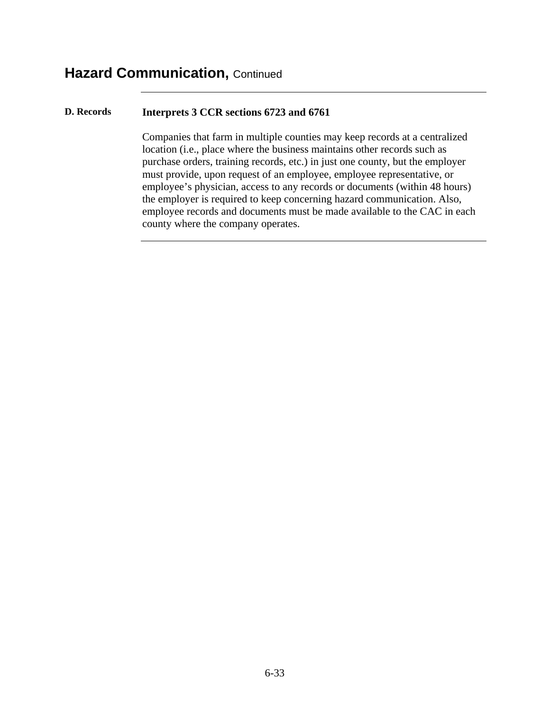#### **D. Records Interprets 3 CCR sections 6723 and 6761**

Companies that farm in multiple counties may keep records at a centralized location (i.e., place where the business maintains other records such as purchase orders, training records, etc.) in just one county, but the employer must provide, upon request of an employee, employee representative, or employee's physician, access to any records or documents (within 48 hours) the employer is required to keep concerning hazard communication. Also, employee records and documents must be made available to the CAC in each county where the company operates.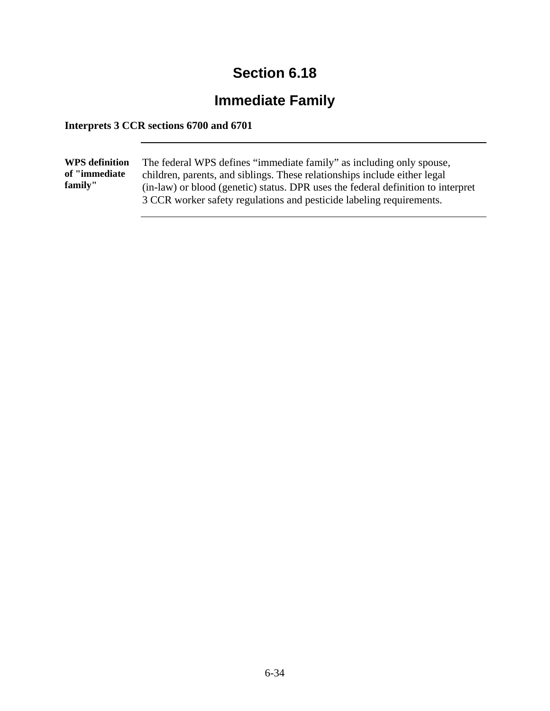# **Immediate Family**

#### **Interprets 3 CCR sections 6700 and 6701**

| <b>WPS</b> definition<br>of "immediate"<br>family" | The federal WPS defines "immediate family" as including only spouse,<br>children, parents, and siblings. These relationships include either legal<br>(in-law) or blood (genetic) status. DPR uses the federal definition to interpret<br>3 CCR worker safety regulations and pesticide labeling requirements. |
|----------------------------------------------------|---------------------------------------------------------------------------------------------------------------------------------------------------------------------------------------------------------------------------------------------------------------------------------------------------------------|
|----------------------------------------------------|---------------------------------------------------------------------------------------------------------------------------------------------------------------------------------------------------------------------------------------------------------------------------------------------------------------|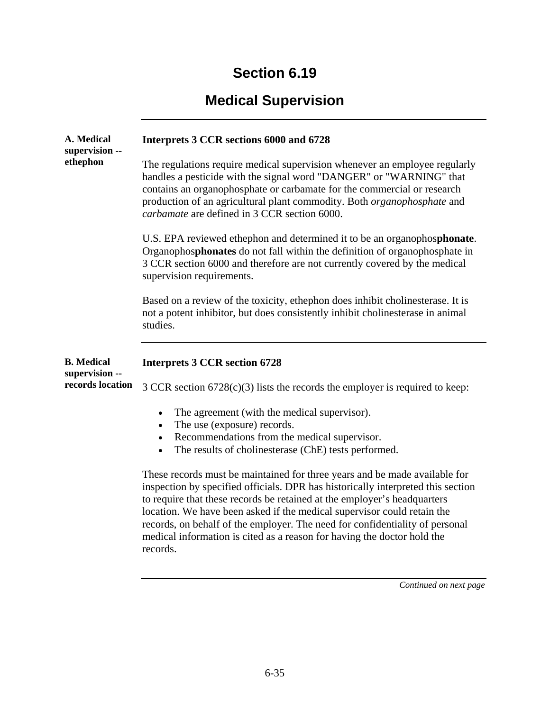# **Medical Supervision**

| A. Medical<br>supervision --<br>ethephon | Interprets 3 CCR sections 6000 and 6728                                                                                                                                                                                                                                                                                                                                                                                                                                                      |
|------------------------------------------|----------------------------------------------------------------------------------------------------------------------------------------------------------------------------------------------------------------------------------------------------------------------------------------------------------------------------------------------------------------------------------------------------------------------------------------------------------------------------------------------|
|                                          | The regulations require medical supervision whenever an employee regularly<br>handles a pesticide with the signal word "DANGER" or "WARNING" that<br>contains an organophosphate or carbamate for the commercial or research<br>production of an agricultural plant commodity. Both organophosphate and<br>carbamate are defined in 3 CCR section 6000.                                                                                                                                      |
|                                          | U.S. EPA reviewed ethephon and determined it to be an organophosphonate.<br>Organophosphonates do not fall within the definition of organophosphate in<br>3 CCR section 6000 and therefore are not currently covered by the medical<br>supervision requirements.                                                                                                                                                                                                                             |
|                                          | Based on a review of the toxicity, ethephon does inhibit cholinesterase. It is<br>not a potent inhibitor, but does consistently inhibit cholinesterase in animal<br>studies.                                                                                                                                                                                                                                                                                                                 |
|                                          |                                                                                                                                                                                                                                                                                                                                                                                                                                                                                              |
| <b>B.</b> Medical<br>supervision --      | <b>Interprets 3 CCR section 6728</b>                                                                                                                                                                                                                                                                                                                                                                                                                                                         |
| records location                         | $3$ CCR section $6728(c)(3)$ lists the records the employer is required to keep:                                                                                                                                                                                                                                                                                                                                                                                                             |
|                                          | The agreement (with the medical supervisor).<br>$\bullet$<br>The use (exposure) records.<br>$\bullet$                                                                                                                                                                                                                                                                                                                                                                                        |
|                                          | Recommendations from the medical supervisor.<br>$\bullet$<br>The results of cholinesterase (ChE) tests performed.<br>$\bullet$                                                                                                                                                                                                                                                                                                                                                               |
|                                          | These records must be maintained for three years and be made available for<br>inspection by specified officials. DPR has historically interpreted this section<br>to require that these records be retained at the employer's headquarters<br>location. We have been asked if the medical supervisor could retain the<br>records, on behalf of the employer. The need for confidentiality of personal<br>medical information is cited as a reason for having the doctor hold the<br>records. |
|                                          | Continued on next page                                                                                                                                                                                                                                                                                                                                                                                                                                                                       |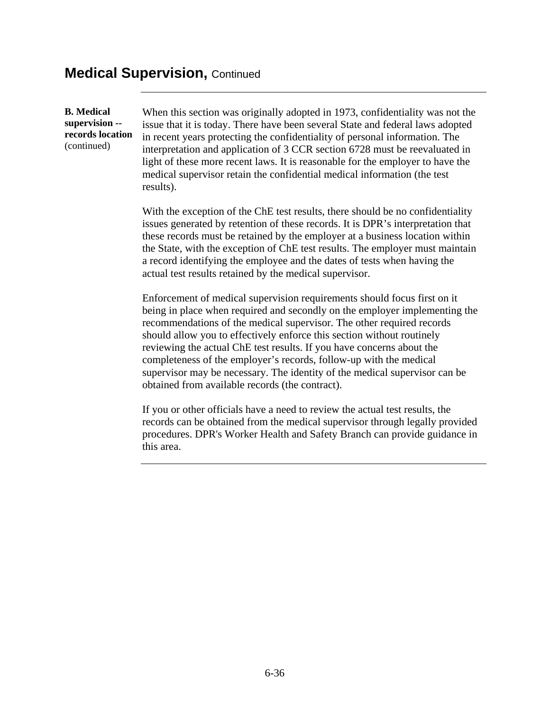#### **Medical Supervision, Continued**

**B. Medical supervision - records location**  (continued)

When this section was originally adopted in 1973, confidentiality was not the issue that it is today. There have been several State and federal laws adopted in recent years protecting the confidentiality of personal information. The interpretation and application of 3 CCR section 6728 must be reevaluated in light of these more recent laws. It is reasonable for the employer to have the medical supervisor retain the confidential medical information (the test results).

With the exception of the ChE test results, there should be no confidentiality issues generated by retention of these records. It is DPR's interpretation that these records must be retained by the employer at a business location within the State, with the exception of ChE test results. The employer must maintain a record identifying the employee and the dates of tests when having the actual test results retained by the medical supervisor.

Enforcement of medical supervision requirements should focus first on it being in place when required and secondly on the employer implementing the recommendations of the medical supervisor. The other required records should allow you to effectively enforce this section without routinely reviewing the actual ChE test results. If you have concerns about the completeness of the employer's records, follow-up with the medical supervisor may be necessary. The identity of the medical supervisor can be obtained from available records (the contract).

If you or other officials have a need to review the actual test results, the records can be obtained from the medical supervisor through legally provided procedures. DPR's Worker Health and Safety Branch can provide guidance in this area.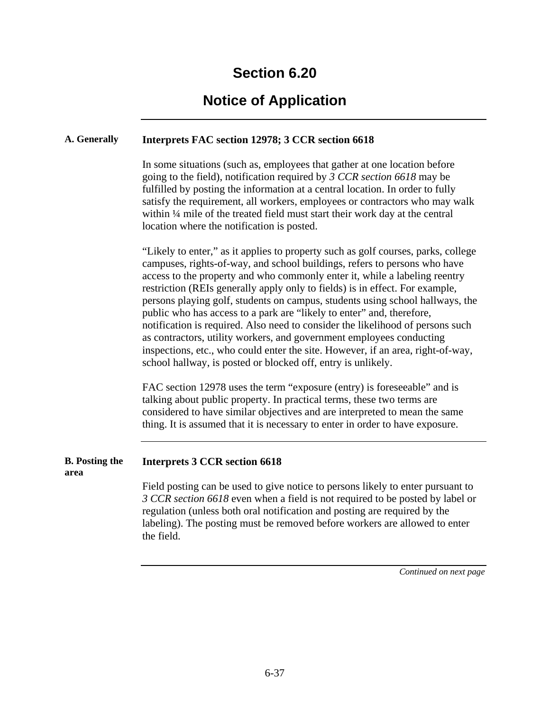### **Notice of Application**

#### **A. Generally Interprets FAC section 12978; 3 CCR section 6618**

In some situations (such as, employees that gather at one location before going to the field), notification required by *3 CCR section 6618* may be fulfilled by posting the information at a central location. In order to fully satisfy the requirement, all workers, employees or contractors who may walk within ¼ mile of the treated field must start their work day at the central location where the notification is posted.

"Likely to enter," as it applies to property such as golf courses, parks, college campuses, rights-of-way, and school buildings, refers to persons who have access to the property and who commonly enter it, while a labeling reentry restriction (REIs generally apply only to fields) is in effect. For example, persons playing golf, students on campus, students using school hallways, the public who has access to a park are "likely to enter" and, therefore, notification is required. Also need to consider the likelihood of persons such as contractors, utility workers, and government employees conducting inspections, etc., who could enter the site. However, if an area, right-of-way, school hallway, is posted or blocked off, entry is unlikely.

FAC section 12978 uses the term "exposure (entry) is foreseeable" and is talking about public property. In practical terms, these two terms are considered to have similar objectives and are interpreted to mean the same thing. It is assumed that it is necessary to enter in order to have exposure.

#### **B. Posting the Interprets 3 CCR section 6618**

**area** 

Field posting can be used to give notice to persons likely to enter pursuant to *3 CCR section 6618* even when a field is not required to be posted by label or regulation (unless both oral notification and posting are required by the labeling). The posting must be removed before workers are allowed to enter the field.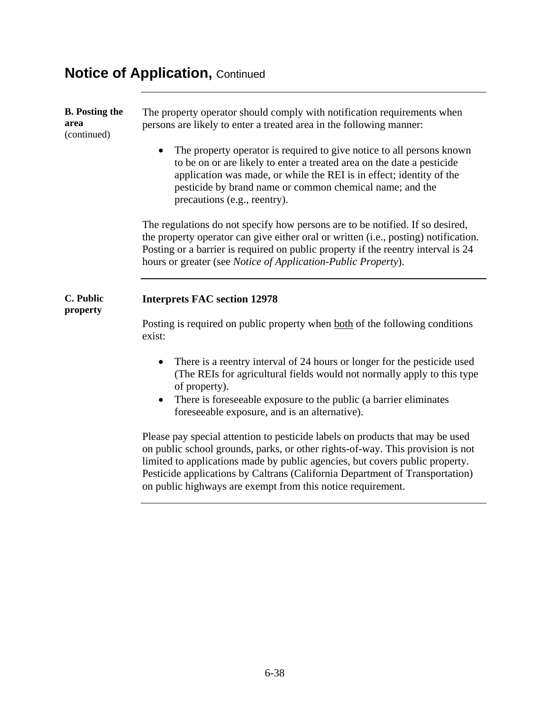### **Notice of Application, Continued**

**B. Posting the area**  (continued) The property operator should comply with notification requirements when persons are likely to enter a treated area in the following manner:

> • The property operator is required to give notice to all persons known to be on or are likely to enter a treated area on the date a pesticide application was made, or while the REI is in effect; identity of the pesticide by brand name or common chemical name; and the precautions (e.g., reentry).

The regulations do not specify how persons are to be notified. If so desired, the property operator can give either oral or written (i.e., posting) notification. Posting or a barrier is required on public property if the reentry interval is 24 hours or greater (see *Notice of Application-Public Property*).

#### **C. Public Interprets FAC section 12978**

**property** 

Posting is required on public property when both of the following conditions exist:

- There is a reentry interval of 24 hours or longer for the pesticide used (The REIs for agricultural fields would not normally apply to this type of property).
- There is foreseeable exposure to the public (a barrier eliminates foreseeable exposure, and is an alternative).

Please pay special attention to pesticide labels on products that may be used on public school grounds, parks, or other rights-of-way. This provision is not limited to applications made by public agencies, but covers public property. Pesticide applications by Caltrans (California Department of Transportation) on public highways are exempt from this notice requirement.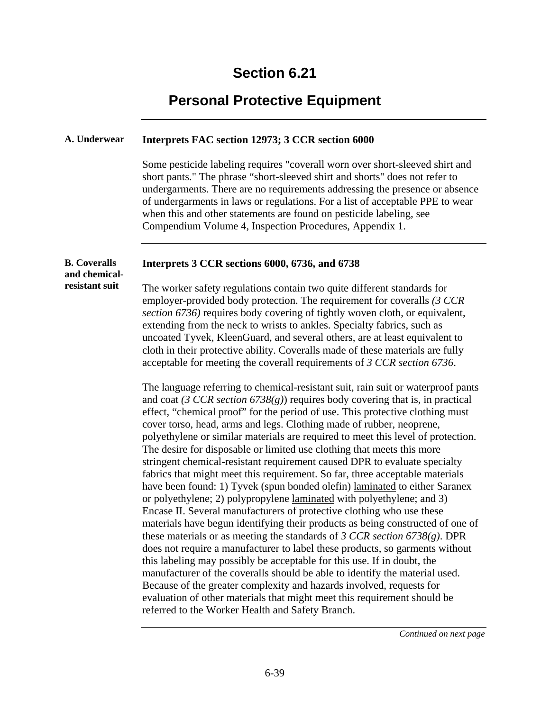### **Personal Protective Equipment**

#### **A. Underwear Interprets FAC section 12973; 3 CCR section 6000**

Some pesticide labeling requires "coverall worn over short-sleeved shirt and short pants." The phrase "short-sleeved shirt and shorts" does not refer to undergarments. There are no requirements addressing the presence or absence of undergarments in laws or regulations. For a list of acceptable PPE to wear when this and other statements are found on pesticide labeling, see Compendium Volume 4, Inspection Procedures, Appendix 1.

#### **B. Coveralls Interprets 3 CCR sections 6000, 6736, and 6738**

**and chemicalresistant suit** 

The worker safety regulations contain two quite different standards for employer-provided body protection. The requirement for coveralls *(3 CCR section 6736)* requires body covering of tightly woven cloth, or equivalent, extending from the neck to wrists to ankles. Specialty fabrics, such as uncoated Tyvek, KleenGuard, and several others, are at least equivalent to cloth in their protective ability. Coveralls made of these materials are fully acceptable for meeting the coverall requirements of *3 CCR section 6736*.

The language referring to chemical-resistant suit, rain suit or waterproof pants and coat *(3 CCR section 6738(g)*) requires body covering that is, in practical effect, "chemical proof" for the period of use. This protective clothing must cover torso, head, arms and legs. Clothing made of rubber, neoprene, polyethylene or similar materials are required to meet this level of protection. The desire for disposable or limited use clothing that meets this more stringent chemical-resistant requirement caused DPR to evaluate specialty fabrics that might meet this requirement. So far, three acceptable materials have been found: 1) Tyvek (spun bonded olefin) laminated to either Saranex or polyethylene; 2) polypropylene laminated with polyethylene; and 3) Encase II. Several manufacturers of protective clothing who use these materials have begun identifying their products as being constructed of one of these materials or as meeting the standards of *3 CCR section 6738(g)*. DPR does not require a manufacturer to label these products, so garments without this labeling may possibly be acceptable for this use. If in doubt, the manufacturer of the coveralls should be able to identify the material used. Because of the greater complexity and hazards involved, requests for evaluation of other materials that might meet this requirement should be referred to the Worker Health and Safety Branch.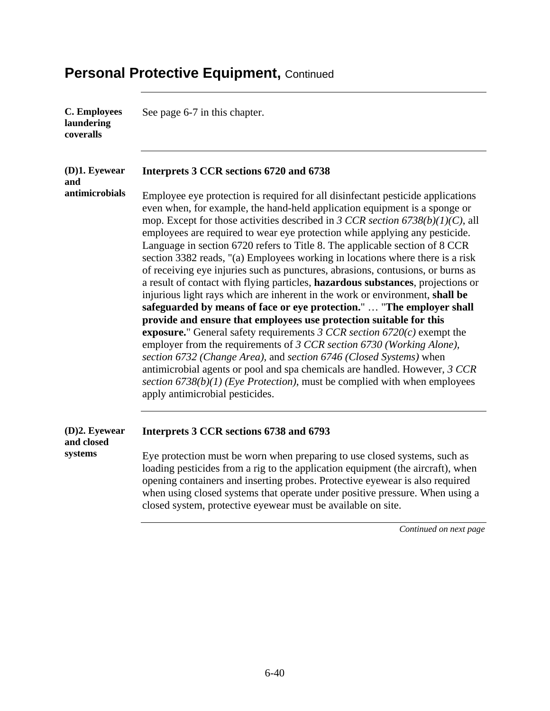| <b>C. Employees</b><br>laundering<br>coveralls | See page 6-7 in this chapter.                                                                                                                                                                                                                                                                                                                                                                                                                                                                                                                                                                                                                                                                                                                                                                                                                                                                                                                                                                                                                                                                                                                                                                                                                                                                                                              |
|------------------------------------------------|--------------------------------------------------------------------------------------------------------------------------------------------------------------------------------------------------------------------------------------------------------------------------------------------------------------------------------------------------------------------------------------------------------------------------------------------------------------------------------------------------------------------------------------------------------------------------------------------------------------------------------------------------------------------------------------------------------------------------------------------------------------------------------------------------------------------------------------------------------------------------------------------------------------------------------------------------------------------------------------------------------------------------------------------------------------------------------------------------------------------------------------------------------------------------------------------------------------------------------------------------------------------------------------------------------------------------------------------|
| (D)1. Eyewear<br>and                           | Interprets 3 CCR sections 6720 and 6738                                                                                                                                                                                                                                                                                                                                                                                                                                                                                                                                                                                                                                                                                                                                                                                                                                                                                                                                                                                                                                                                                                                                                                                                                                                                                                    |
| antimicrobials                                 | Employee eye protection is required for all disinfectant pesticide applications<br>even when, for example, the hand-held application equipment is a sponge or<br>mop. Except for those activities described in 3 CCR section $6738(b)(1)(C)$ , all<br>employees are required to wear eye protection while applying any pesticide.<br>Language in section 6720 refers to Title 8. The applicable section of 8 CCR<br>section 3382 reads, "(a) Employees working in locations where there is a risk<br>of receiving eye injuries such as punctures, abrasions, contusions, or burns as<br>a result of contact with flying particles, hazardous substances, projections or<br>injurious light rays which are inherent in the work or environment, shall be<br>safeguarded by means of face or eye protection."  "The employer shall<br>provide and ensure that employees use protection suitable for this<br><b>exposure.</b> " General safety requirements 3 CCR section $6720(c)$ exempt the<br>employer from the requirements of 3 CCR section 6730 (Working Alone),<br>section 6732 (Change Area), and section 6746 (Closed Systems) when<br>antimicrobial agents or pool and spa chemicals are handled. However, 3 CCR<br>section $6738(b)(1)$ (Eye Protection), must be complied with when employees<br>apply antimicrobial pesticides. |
| (D)2. Eyewear<br>and closed                    | Interprets 3 CCR sections 6738 and 6793                                                                                                                                                                                                                                                                                                                                                                                                                                                                                                                                                                                                                                                                                                                                                                                                                                                                                                                                                                                                                                                                                                                                                                                                                                                                                                    |
| systems                                        | Eye protection must be worn when preparing to use closed systems, such as<br>loading pesticides from a rig to the application equipment (the aircraft), when<br>opening containers and inserting probes. Protective eyewear is also required<br>when using closed systems that operate under positive pressure. When using a                                                                                                                                                                                                                                                                                                                                                                                                                                                                                                                                                                                                                                                                                                                                                                                                                                                                                                                                                                                                               |

*Continued on next page* 

closed system, protective eyewear must be available on site.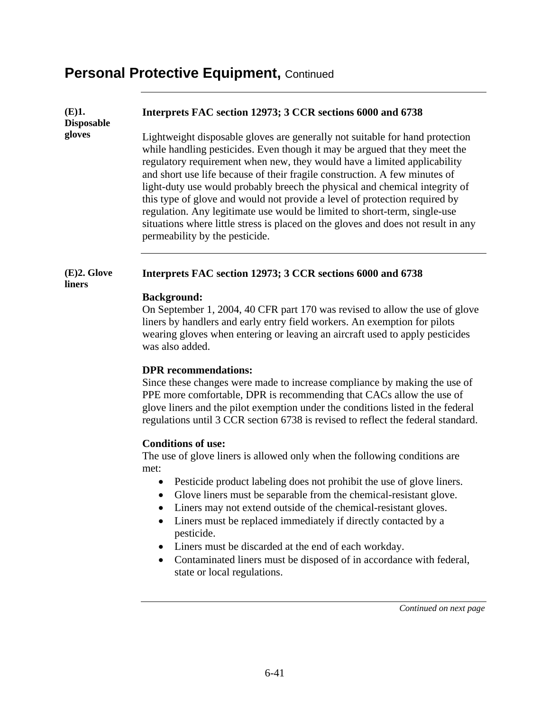#### **Interprets FAC section 12973; 3 CCR sections 6000 and 6738**

**Disposable gloves** 

**(E)1.** 

Lightweight disposable gloves are generally not suitable for hand protection while handling pesticides. Even though it may be argued that they meet the regulatory requirement when new, they would have a limited applicability and short use life because of their fragile construction. A few minutes of light-duty use would probably breech the physical and chemical integrity of this type of glove and would not provide a level of protection required by regulation. Any legitimate use would be limited to short-term, single-use situations where little stress is placed on the gloves and does not result in any permeability by the pesticide.

#### **(E)2. Glove liners Interprets FAC section 12973; 3 CCR sections 6000 and 6738**

#### **Background:**

On September 1, 2004, 40 CFR part 170 was revised to allow the use of glove liners by handlers and early entry field workers. An exemption for pilots wearing gloves when entering or leaving an aircraft used to apply pesticides was also added.

#### **DPR recommendations:**

Since these changes were made to increase compliance by making the use of PPE more comfortable, DPR is recommending that CACs allow the use of glove liners and the pilot exemption under the conditions listed in the federal regulations until 3 CCR section 6738 is revised to reflect the federal standard.

#### **Conditions of use:**

The use of glove liners is allowed only when the following conditions are met:

- Pesticide product labeling does not prohibit the use of glove liners.
- Glove liners must be separable from the chemical-resistant glove.
- Liners may not extend outside of the chemical-resistant gloves.
- Liners must be replaced immediately if directly contacted by a pesticide.
- Liners must be discarded at the end of each workday.
- Contaminated liners must be disposed of in accordance with federal, state or local regulations.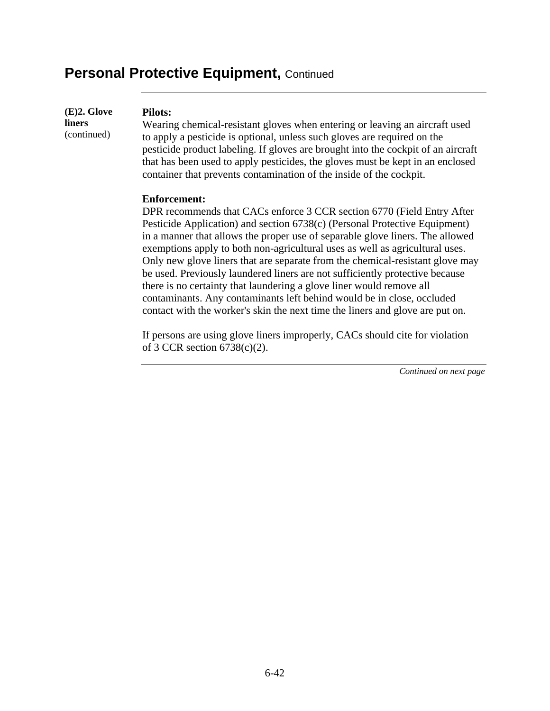**(E)2. Glove liners**  (continued)

#### **Pilots:**

Wearing chemical-resistant gloves when entering or leaving an aircraft used to apply a pesticide is optional, unless such gloves are required on the pesticide product labeling. If gloves are brought into the cockpit of an aircraft that has been used to apply pesticides, the gloves must be kept in an enclosed container that prevents contamination of the inside of the cockpit.

#### **Enforcement:**

DPR recommends that CACs enforce 3 CCR section 6770 (Field Entry After Pesticide Application) and section 6738(c) (Personal Protective Equipment) in a manner that allows the proper use of separable glove liners. The allowed exemptions apply to both non-agricultural uses as well as agricultural uses. Only new glove liners that are separate from the chemical-resistant glove may be used. Previously laundered liners are not sufficiently protective because there is no certainty that laundering a glove liner would remove all contaminants. Any contaminants left behind would be in close, occluded contact with the worker's skin the next time the liners and glove are put on.

If persons are using glove liners improperly, CACs should cite for violation of 3 CCR section 6738(c)(2).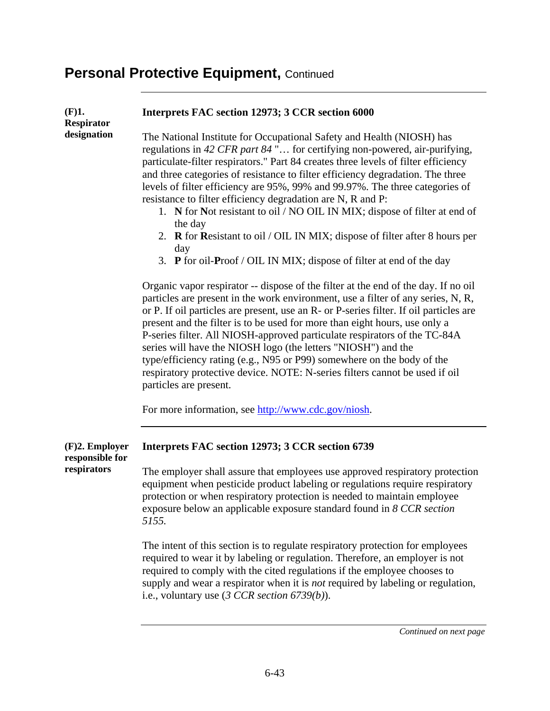| (F)1.<br><b>Respirator</b>                         | Interprets FAC section 12973; 3 CCR section 6000                                                                                                                                                                                                                                                                                                                                                                                                                                                                                                                                                                                                                                                                                       |
|----------------------------------------------------|----------------------------------------------------------------------------------------------------------------------------------------------------------------------------------------------------------------------------------------------------------------------------------------------------------------------------------------------------------------------------------------------------------------------------------------------------------------------------------------------------------------------------------------------------------------------------------------------------------------------------------------------------------------------------------------------------------------------------------------|
| designation                                        | The National Institute for Occupational Safety and Health (NIOSH) has<br>regulations in 42 CFR part 84" for certifying non-powered, air-purifying,<br>particulate-filter respirators." Part 84 creates three levels of filter efficiency<br>and three categories of resistance to filter efficiency degradation. The three<br>levels of filter efficiency are 95%, 99% and 99.97%. The three categories of<br>resistance to filter efficiency degradation are N, R and P:<br>1. N for Not resistant to oil / NO OIL IN MIX; dispose of filter at end of<br>the day<br>2. R for Resistant to oil / OIL IN MIX; dispose of filter after 8 hours per<br>day<br>3. P for oil-Proof / OIL IN MIX; dispose of filter at end of the day       |
|                                                    | Organic vapor respirator -- dispose of the filter at the end of the day. If no oil<br>particles are present in the work environment, use a filter of any series, N, R,<br>or P. If oil particles are present, use an R- or P-series filter. If oil particles are<br>present and the filter is to be used for more than eight hours, use only a<br>P-series filter. All NIOSH-approved particulate respirators of the TC-84A<br>series will have the NIOSH logo (the letters "NIOSH") and the<br>type/efficiency rating (e.g., N95 or P99) somewhere on the body of the<br>respiratory protective device. NOTE: N-series filters cannot be used if oil<br>particles are present.<br>For more information, see http://www.cdc.gov/niosh. |
|                                                    |                                                                                                                                                                                                                                                                                                                                                                                                                                                                                                                                                                                                                                                                                                                                        |
| $(F)2.$ Employer<br>responsible for<br>respirators | Interprets FAC section 12973; 3 CCR section 6739                                                                                                                                                                                                                                                                                                                                                                                                                                                                                                                                                                                                                                                                                       |
|                                                    | The employer shall assure that employees use approved respiratory protection<br>equipment when pesticide product labeling or regulations require respiratory<br>protection or when respiratory protection is needed to maintain employee<br>exposure below an applicable exposure standard found in 8 CCR section<br>5155.                                                                                                                                                                                                                                                                                                                                                                                                             |
|                                                    | The intent of this section is to regulate respiratory protection for employees<br>required to wear it by labeling or regulation. Therefore, an employer is not<br>required to comply with the cited regulations if the employee chooses to<br>supply and wear a respirator when it is <i>not</i> required by labeling or regulation,<br>i.e., voluntary use $(3 CCR section 6739(b))$ .                                                                                                                                                                                                                                                                                                                                                |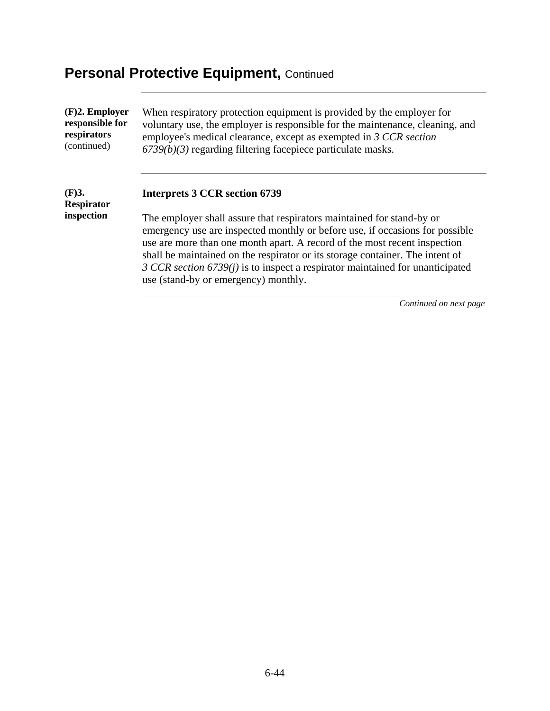| $(F)2.$ Employer                            | When respiratory protection equipment is provided by the employer for                                                                                                                                                                                                                                                                                                                                                                                                                  |
|---------------------------------------------|----------------------------------------------------------------------------------------------------------------------------------------------------------------------------------------------------------------------------------------------------------------------------------------------------------------------------------------------------------------------------------------------------------------------------------------------------------------------------------------|
| responsible for                             | voluntary use, the employer is responsible for the maintenance, cleaning, and                                                                                                                                                                                                                                                                                                                                                                                                          |
| respirators                                 | employee's medical clearance, except as exempted in 3 CCR section                                                                                                                                                                                                                                                                                                                                                                                                                      |
| (continued)                                 | $6739(b)(3)$ regarding filtering facepiece particulate masks.                                                                                                                                                                                                                                                                                                                                                                                                                          |
| $(F)$ 3.<br><b>Respirator</b><br>inspection | <b>Interprets 3 CCR section 6739</b><br>The employer shall assure that respirators maintained for stand-by or<br>emergency use are inspected monthly or before use, if occasions for possible<br>use are more than one month apart. A record of the most recent inspection<br>shall be maintained on the respirator or its storage container. The intent of<br>3 CCR section $6739(j)$ is to inspect a respirator maintained for unanticipated<br>use (stand-by or emergency) monthly. |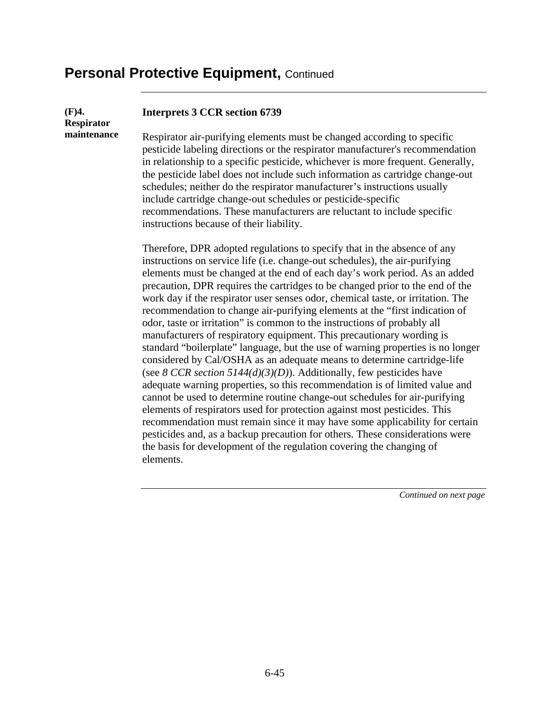elements.

| (F)4.<br><b>Respirator</b> | <b>Interprets 3 CCR section 6739</b>                                                                                                                                                                                                                                                                                                                                                                                                                                                                                                                                                                                                                                                                                                                                                                                                                                                                                                                                                                                                                                                                                                                                                                                                                                                         |
|----------------------------|----------------------------------------------------------------------------------------------------------------------------------------------------------------------------------------------------------------------------------------------------------------------------------------------------------------------------------------------------------------------------------------------------------------------------------------------------------------------------------------------------------------------------------------------------------------------------------------------------------------------------------------------------------------------------------------------------------------------------------------------------------------------------------------------------------------------------------------------------------------------------------------------------------------------------------------------------------------------------------------------------------------------------------------------------------------------------------------------------------------------------------------------------------------------------------------------------------------------------------------------------------------------------------------------|
| maintenance                | Respirator air-purifying elements must be changed according to specific<br>pesticide labeling directions or the respirator manufacturer's recommendation<br>in relationship to a specific pesticide, whichever is more frequent. Generally,<br>the pesticide label does not include such information as cartridge change-out<br>schedules; neither do the respirator manufacturer's instructions usually<br>include cartridge change-out schedules or pesticide-specific<br>recommendations. These manufacturers are reluctant to include specific<br>instructions because of their liability.                                                                                                                                                                                                                                                                                                                                                                                                                                                                                                                                                                                                                                                                                               |
|                            | Therefore, DPR adopted regulations to specify that in the absence of any<br>instructions on service life (i.e. change-out schedules), the air-purifying<br>elements must be changed at the end of each day's work period. As an added<br>precaution, DPR requires the cartridges to be changed prior to the end of the<br>work day if the respirator user senses odor, chemical taste, or irritation. The<br>recommendation to change air-purifying elements at the "first indication of<br>odor, taste or irritation" is common to the instructions of probably all<br>manufacturers of respiratory equipment. This precautionary wording is<br>standard "boilerplate" language, but the use of warning properties is no longer<br>considered by Cal/OSHA as an adequate means to determine cartridge-life<br>(see 8 CCR section 5144(d)(3)(D)). Additionally, few pesticides have<br>adequate warning properties, so this recommendation is of limited value and<br>cannot be used to determine routine change-out schedules for air-purifying<br>elements of respirators used for protection against most pesticides. This<br>recommendation must remain since it may have some applicability for certain<br>pesticides and, as a backup precaution for others. These considerations were |

the basis for development of the regulation covering the changing of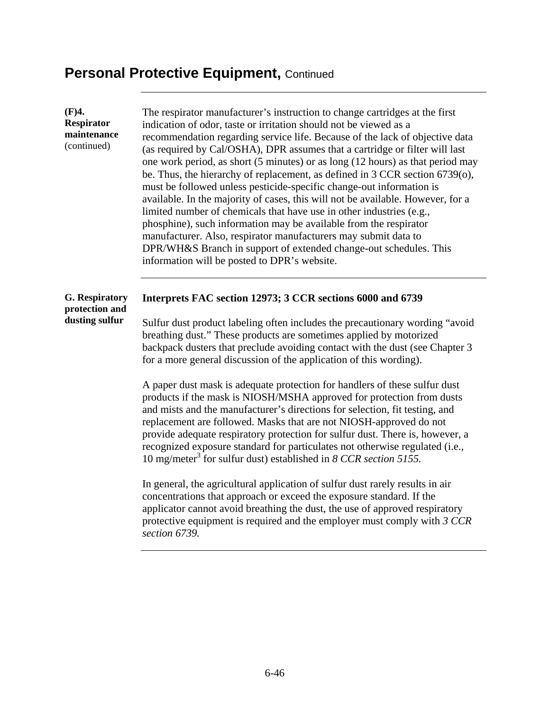| (F)4.<br>Respirator<br>maintenance<br>(continued)         | The respirator manufacturer's instruction to change cartridges at the first<br>indication of odor, taste or irritation should not be viewed as a<br>recommendation regarding service life. Because of the lack of objective data<br>(as required by Cal/OSHA), DPR assumes that a cartridge or filter will last<br>one work period, as short (5 minutes) or as long (12 hours) as that period may<br>be. Thus, the hierarchy of replacement, as defined in 3 CCR section 6739(o),<br>must be followed unless pesticide-specific change-out information is<br>available. In the majority of cases, this will not be available. However, for a<br>limited number of chemicals that have use in other industries (e.g.,<br>phosphine), such information may be available from the respirator<br>manufacturer. Also, respirator manufacturers may submit data to<br>DPR/WH&S Branch in support of extended change-out schedules. This<br>information will be posted to DPR's website. |
|-----------------------------------------------------------|-----------------------------------------------------------------------------------------------------------------------------------------------------------------------------------------------------------------------------------------------------------------------------------------------------------------------------------------------------------------------------------------------------------------------------------------------------------------------------------------------------------------------------------------------------------------------------------------------------------------------------------------------------------------------------------------------------------------------------------------------------------------------------------------------------------------------------------------------------------------------------------------------------------------------------------------------------------------------------------|
| <b>G.</b> Respiratory<br>protection and<br>dusting sulfur | Interprets FAC section 12973; 3 CCR sections 6000 and 6739<br>Sulfur dust product labeling often includes the precautionary wording "avoid"<br>breathing dust." These products are sometimes applied by motorized<br>backpack dusters that preclude avoiding contact with the dust (see Chapter 3<br>for a more general discussion of the application of this wording).                                                                                                                                                                                                                                                                                                                                                                                                                                                                                                                                                                                                           |
|                                                           | A paper dust mask is adequate protection for handlers of these sulfur dust<br>products if the mask is NIOSH/MSHA approved for protection from dusts<br>and mists and the manufacturer's directions for selection, fit testing, and<br>replacement are followed. Masks that are not NIOSH-approved do not<br>provide adequate respiratory protection for sulfur dust. There is, however, a<br>recognized exposure standard for particulates not otherwise regulated (i.e.,<br>10 mg/meter <sup>3</sup> for sulfur dust) established in 8 CCR section 5155.                                                                                                                                                                                                                                                                                                                                                                                                                         |
|                                                           | In general, the agricultural application of sulfur dust rarely results in air<br>concentrations that approach or exceed the exposure standard. If the<br>applicator cannot avoid breathing the dust, the use of approved respiratory<br>protective equipment is required and the employer must comply with 3 CCR<br>section 6739.                                                                                                                                                                                                                                                                                                                                                                                                                                                                                                                                                                                                                                                 |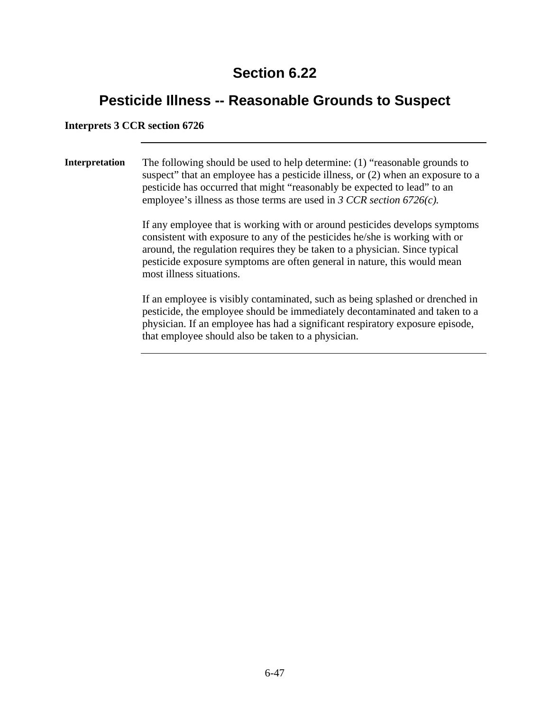### **Pesticide Illness -- Reasonable Grounds to Suspect**

#### **Interprets 3 CCR section 6726**

**Interpretation** The following should be used to help determine: (1) "reasonable grounds to suspect" that an employee has a pesticide illness, or (2) when an exposure to a pesticide has occurred that might "reasonably be expected to lead" to an employee's illness as those terms are used in *3 CCR section 6726(c).* 

> If any employee that is working with or around pesticides develops symptoms consistent with exposure to any of the pesticides he/she is working with or around, the regulation requires they be taken to a physician. Since typical pesticide exposure symptoms are often general in nature, this would mean most illness situations.

> If an employee is visibly contaminated, such as being splashed or drenched in pesticide, the employee should be immediately decontaminated and taken to a physician. If an employee has had a significant respiratory exposure episode, that employee should also be taken to a physician.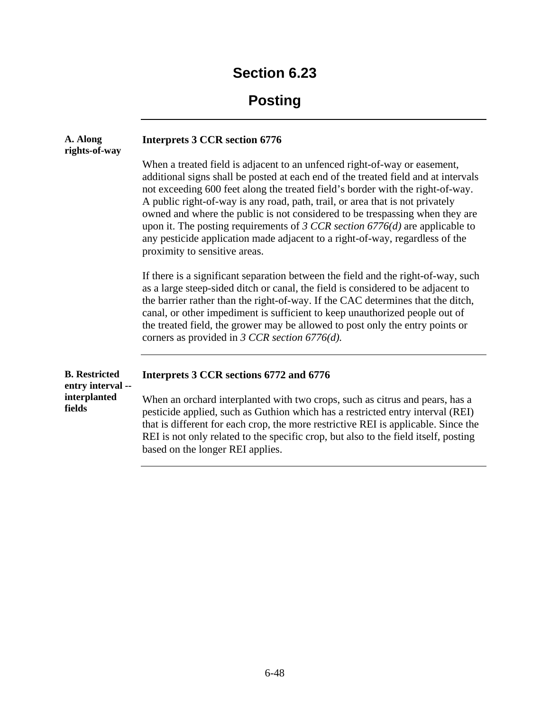# **Posting**

| A. Along<br>rights-of-way                                           | <b>Interprets 3 CCR section 6776</b>                                                                                                                                                                                                                                                                                                                                                                                                                                                                                                                                                                                  |
|---------------------------------------------------------------------|-----------------------------------------------------------------------------------------------------------------------------------------------------------------------------------------------------------------------------------------------------------------------------------------------------------------------------------------------------------------------------------------------------------------------------------------------------------------------------------------------------------------------------------------------------------------------------------------------------------------------|
|                                                                     | When a treated field is adjacent to an unfenced right-of-way or easement,<br>additional signs shall be posted at each end of the treated field and at intervals<br>not exceeding 600 feet along the treated field's border with the right-of-way.<br>A public right-of-way is any road, path, trail, or area that is not privately<br>owned and where the public is not considered to be trespassing when they are<br>upon it. The posting requirements of 3 CCR section $6776(d)$ are applicable to<br>any pesticide application made adjacent to a right-of-way, regardless of the<br>proximity to sensitive areas. |
|                                                                     | If there is a significant separation between the field and the right-of-way, such<br>as a large steep-sided ditch or canal, the field is considered to be adjacent to<br>the barrier rather than the right-of-way. If the CAC determines that the ditch,<br>canal, or other impediment is sufficient to keep unauthorized people out of<br>the treated field, the grower may be allowed to post only the entry points or<br>corners as provided in 3 CCR section 6776(d).                                                                                                                                             |
| <b>B.</b> Restricted<br>entry interval --<br>interplanted<br>fields | Interprets 3 CCR sections 6772 and 6776                                                                                                                                                                                                                                                                                                                                                                                                                                                                                                                                                                               |
|                                                                     | When an orchard interplanted with two crops, such as citrus and pears, has a<br>pesticide applied, such as Guthion which has a restricted entry interval (REI)<br>that is different for each crop, the more restrictive REI is applicable. Since the<br>REI is not only related to the specific crop, but also to the field itself, posting<br>based on the longer REI applies.                                                                                                                                                                                                                                       |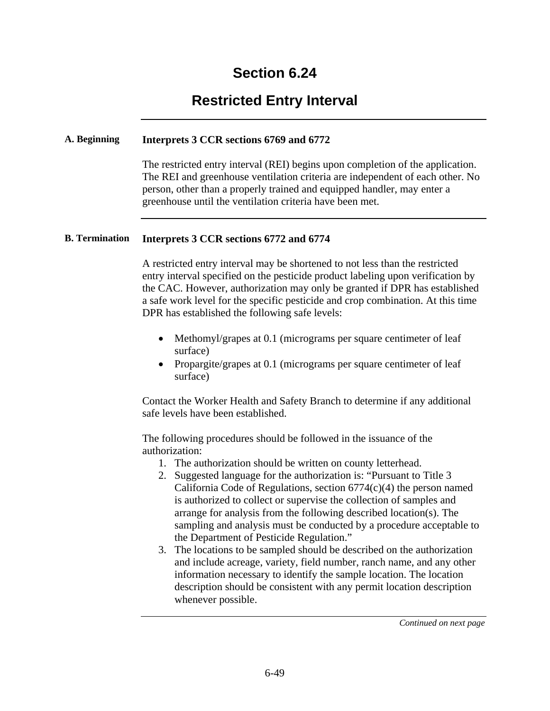### **Restricted Entry Interval**

#### **A. Beginning Interprets 3 CCR sections 6769 and 6772**

The restricted entry interval (REI) begins upon completion of the application. The REI and greenhouse ventilation criteria are independent of each other. No person, other than a properly trained and equipped handler, may enter a greenhouse until the ventilation criteria have been met.

#### **B. Termination Interprets 3 CCR sections 6772 and 6774**

A restricted entry interval may be shortened to not less than the restricted entry interval specified on the pesticide product labeling upon verification by the CAC. However, authorization may only be granted if DPR has established a safe work level for the specific pesticide and crop combination. At this time DPR has established the following safe levels:

- Methomyl/grapes at 0.1 (micrograms per square centimeter of leaf surface)
- Propargite/grapes at 0.1 (micrograms per square centimeter of leaf surface)

Contact the Worker Health and Safety Branch to determine if any additional safe levels have been established.

The following procedures should be followed in the issuance of the authorization:

- 1. The authorization should be written on county letterhead.
- 2. Suggested language for the authorization is: "Pursuant to Title 3 California Code of Regulations, section  $6774(c)(4)$  the person named is authorized to collect or supervise the collection of samples and arrange for analysis from the following described location(s). The sampling and analysis must be conducted by a procedure acceptable to the Department of Pesticide Regulation."
- 3. The locations to be sampled should be described on the authorization and include acreage, variety, field number, ranch name, and any other information necessary to identify the sample location. The location description should be consistent with any permit location description whenever possible.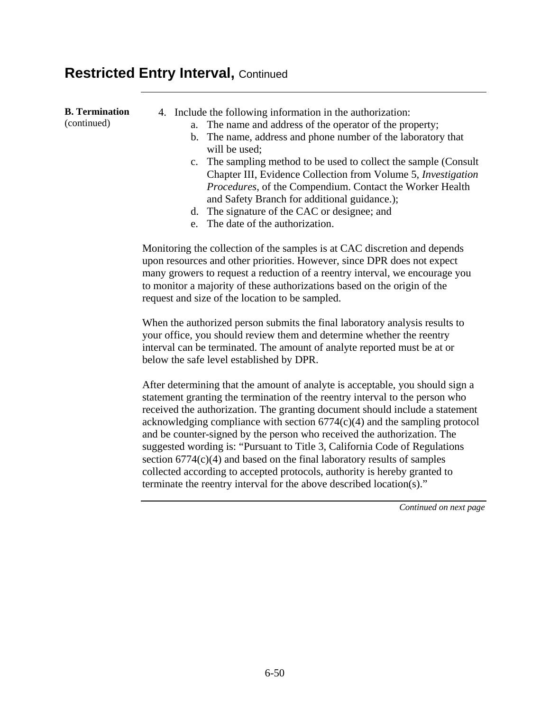#### **Restricted Entry Interval, Continued**

| <b>B.</b> Termination<br>(continued) | 4. Include the following information in the authorization:<br>a. The name and address of the operator of the property;<br>b. The name, address and phone number of the laboratory that<br>will be used;<br>c. The sampling method to be used to collect the sample (Consult<br>Chapter III, Evidence Collection from Volume 5, <i>Investigation</i><br><i>Procedures</i> , of the Compendium. Contact the Worker Health |
|--------------------------------------|-------------------------------------------------------------------------------------------------------------------------------------------------------------------------------------------------------------------------------------------------------------------------------------------------------------------------------------------------------------------------------------------------------------------------|
|                                      | and Safety Branch for additional guidance.);<br>d. The signature of the CAC or designee; and<br>e. The date of the authorization.                                                                                                                                                                                                                                                                                       |
|                                      | Monitoring the collection of the samples is at CAC discretion and depends<br>upon resources and other priorities. However, since DPR does not expect<br>many growers to request a reduction of a reentry interval, we encourage you<br>to monitor a majority of these authorizations based on the origin of the<br>request and size of the location to be sampled.                                                      |

When the authorized person submits the final laboratory analysis results to your office, you should review them and determine whether the reentry interval can be terminated. The amount of analyte reported must be at or below the safe level established by DPR.

After determining that the amount of analyte is acceptable, you should sign a statement granting the termination of the reentry interval to the person who received the authorization. The granting document should include a statement acknowledging compliance with section 6774(c)(4) and the sampling protocol and be counter-signed by the person who received the authorization. The suggested wording is: "Pursuant to Title 3, California Code of Regulations section 6774(c)(4) and based on the final laboratory results of samples collected according to accepted protocols, authority is hereby granted to terminate the reentry interval for the above described location(s)."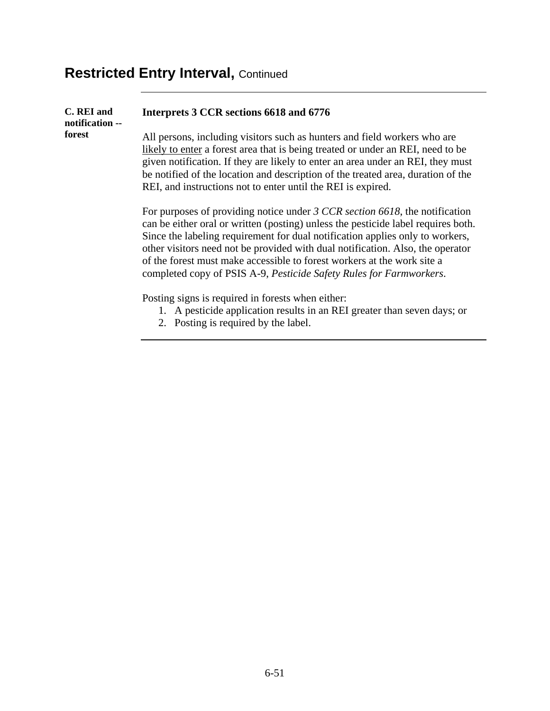# **Restricted Entry Interval, Continued**

| C. REI and<br>notification -- | Interprets 3 CCR sections 6618 and 6776                                                                                                                                                                                                                                                                                                                                                                                                                                               |
|-------------------------------|---------------------------------------------------------------------------------------------------------------------------------------------------------------------------------------------------------------------------------------------------------------------------------------------------------------------------------------------------------------------------------------------------------------------------------------------------------------------------------------|
| forest                        | All persons, including visitors such as hunters and field workers who are<br>likely to enter a forest area that is being treated or under an REI, need to be<br>given notification. If they are likely to enter an area under an REI, they must<br>be notified of the location and description of the treated area, duration of the<br>REI, and instructions not to enter until the REI is expired.                                                                                   |
|                               | For purposes of providing notice under 3 CCR section 6618, the notification<br>can be either oral or written (posting) unless the pesticide label requires both.<br>Since the labeling requirement for dual notification applies only to workers,<br>other visitors need not be provided with dual notification. Also, the operator<br>of the forest must make accessible to forest workers at the work site a<br>completed copy of PSIS A-9, Pesticide Safety Rules for Farmworkers. |
|                               | Posting signs is required in forests when either:<br>1. A pesticide application results in an REI greater than seven days; or<br>2. Posting is required by the label.                                                                                                                                                                                                                                                                                                                 |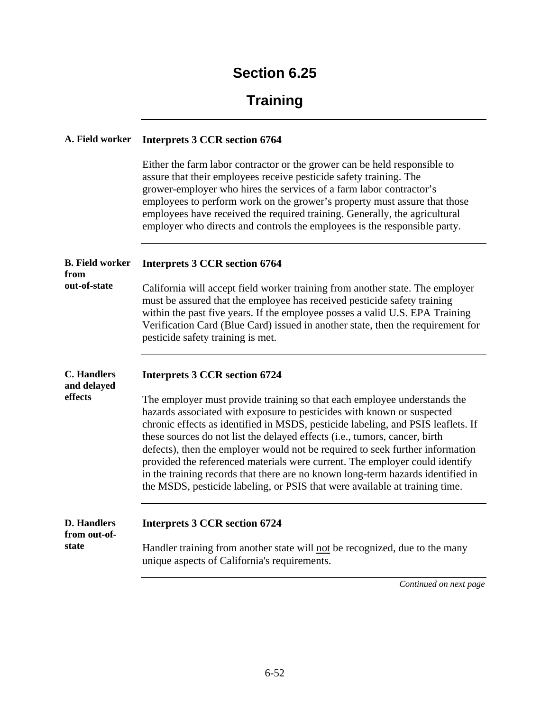### **Training**

#### **A. Field worker Interprets 3 CCR section 6764**

Either the farm labor contractor or the grower can be held responsible to assure that their employees receive pesticide safety training. The grower-employer who hires the services of a farm labor contractor's employees to perform work on the grower's property must assure that those employees have received the required training. Generally, the agricultural employer who directs and controls the employees is the responsible party.

| <b>B.</b> Field worker<br>from              | <b>Interprets 3 CCR section 6764</b>                                                                                                                                                                                                                                                                                                                                                                                                                                                                                                                                                                                                                   |
|---------------------------------------------|--------------------------------------------------------------------------------------------------------------------------------------------------------------------------------------------------------------------------------------------------------------------------------------------------------------------------------------------------------------------------------------------------------------------------------------------------------------------------------------------------------------------------------------------------------------------------------------------------------------------------------------------------------|
| out-of-state                                | California will accept field worker training from another state. The employer<br>must be assured that the employee has received pesticide safety training<br>within the past five years. If the employee posses a valid U.S. EPA Training<br>Verification Card (Blue Card) issued in another state, then the requirement for<br>pesticide safety training is met.                                                                                                                                                                                                                                                                                      |
| <b>C.</b> Handlers<br>and delayed           | <b>Interprets 3 CCR section 6724</b>                                                                                                                                                                                                                                                                                                                                                                                                                                                                                                                                                                                                                   |
| effects                                     | The employer must provide training so that each employee understands the<br>hazards associated with exposure to pesticides with known or suspected<br>chronic effects as identified in MSDS, pesticide labeling, and PSIS leaflets. If<br>these sources do not list the delayed effects (i.e., tumors, cancer, birth<br>defects), then the employer would not be required to seek further information<br>provided the referenced materials were current. The employer could identify<br>in the training records that there are no known long-term hazards identified in<br>the MSDS, pesticide labeling, or PSIS that were available at training time. |
| <b>D. Handlers</b><br>from out-of-<br>state | <b>Interprets 3 CCR section 6724</b><br>Handler training from another state will not be recognized, due to the many<br>unique aspects of California's requirements.                                                                                                                                                                                                                                                                                                                                                                                                                                                                                    |
|                                             | Continued on next page                                                                                                                                                                                                                                                                                                                                                                                                                                                                                                                                                                                                                                 |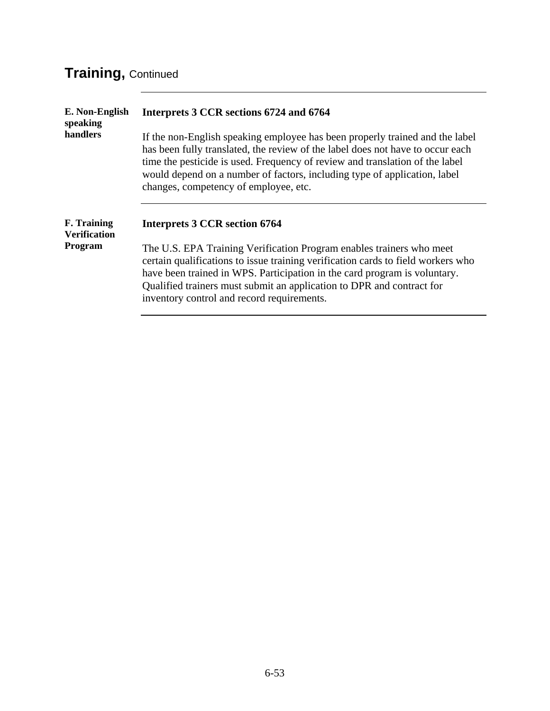# **Training,** Continued

| E. Non-English<br>speaking<br>handlers    | Interprets 3 CCR sections 6724 and 6764                                                                                                                                                                                                                                                                                                                              |
|-------------------------------------------|----------------------------------------------------------------------------------------------------------------------------------------------------------------------------------------------------------------------------------------------------------------------------------------------------------------------------------------------------------------------|
|                                           | If the non-English speaking employee has been properly trained and the label<br>has been fully translated, the review of the label does not have to occur each<br>time the pesticide is used. Frequency of review and translation of the label<br>would depend on a number of factors, including type of application, label<br>changes, competency of employee, etc. |
| <b>F.</b> Training<br><b>Verification</b> | <b>Interprets 3 CCR section 6764</b>                                                                                                                                                                                                                                                                                                                                 |
| Program                                   | The U.S. EPA Training Verification Program enables trainers who meet<br>certain qualifications to issue training verification cards to field workers who<br>have been trained in WPS. Participation in the card program is voluntary.<br>Qualified trainers must submit an application to DPR and contract for<br>inventory control and record requirements.         |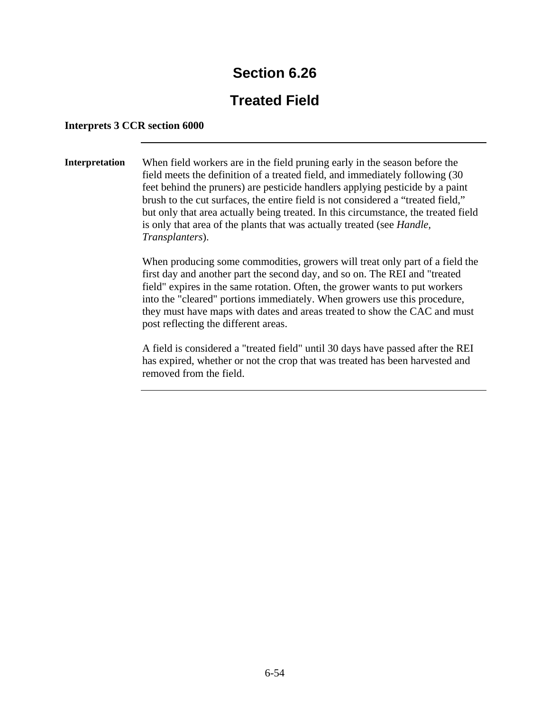### **Treated Field**

#### **Interprets 3 CCR section 6000**

**Interpretation** When field workers are in the field pruning early in the season before the field meets the definition of a treated field, and immediately following (30 feet behind the pruners) are pesticide handlers applying pesticide by a paint brush to the cut surfaces, the entire field is not considered a "treated field," but only that area actually being treated. In this circumstance, the treated field is only that area of the plants that was actually treated (see *Handle, Transplanters*).

> When producing some commodities, growers will treat only part of a field the first day and another part the second day, and so on. The REI and "treated field" expires in the same rotation. Often, the grower wants to put workers into the "cleared" portions immediately. When growers use this procedure, they must have maps with dates and areas treated to show the CAC and must post reflecting the different areas.

A field is considered a "treated field" until 30 days have passed after the REI has expired, whether or not the crop that was treated has been harvested and removed from the field.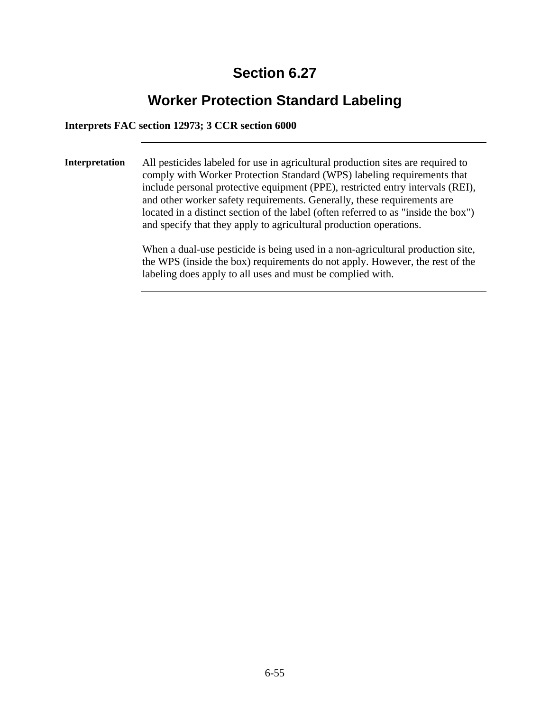### **Worker Protection Standard Labeling**

#### **Interprets FAC section 12973; 3 CCR section 6000**

**Interpretation** All pesticides labeled for use in agricultural production sites are required to comply with Worker Protection Standard (WPS) labeling requirements that include personal protective equipment (PPE), restricted entry intervals (REI), and other worker safety requirements. Generally, these requirements are located in a distinct section of the label (often referred to as "inside the box") and specify that they apply to agricultural production operations.

> When a dual-use pesticide is being used in a non-agricultural production site, the WPS (inside the box) requirements do not apply. However, the rest of the labeling does apply to all uses and must be complied with.